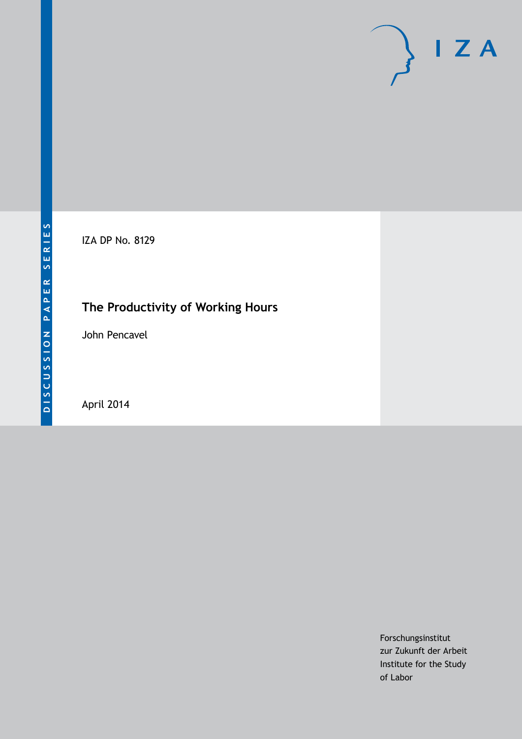# $\mathsf{I}$  Z A

IZA DP No. 8129

# **The Productivity of Working Hours**

John Pencavel

April 2014

Forschungsinstitut zur Zukunft der Arbeit Institute for the Study of Labor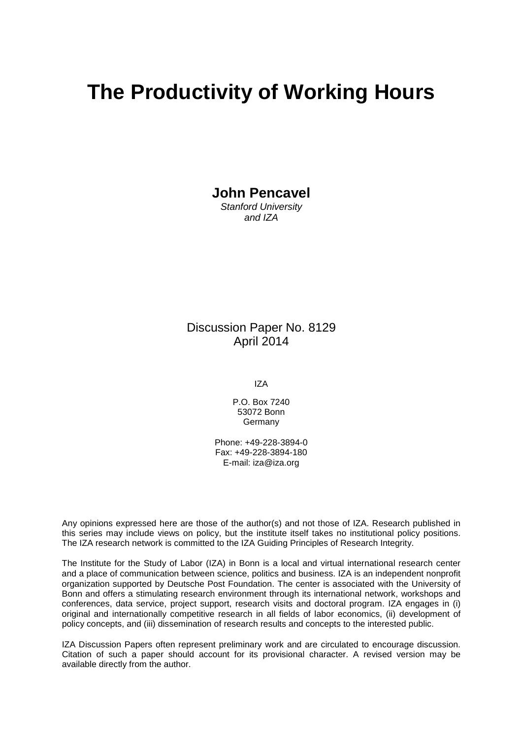# **The Productivity of Working Hours**

**John Pencavel**

*Stanford University and IZA*

Discussion Paper No. 8129 April 2014

IZA

P.O. Box 7240 53072 Bonn Germany

Phone: +49-228-3894-0 Fax: +49-228-3894-180 E-mail: [iza@iza.org](mailto:iza@iza.org)

Any opinions expressed here are those of the author(s) and not those of IZA. Research published in this series may include views on policy, but the institute itself takes no institutional policy positions. The IZA research network is committed to the IZA Guiding Principles of Research Integrity.

The Institute for the Study of Labor (IZA) in Bonn is a local and virtual international research center and a place of communication between science, politics and business. IZA is an independent nonprofit organization supported by Deutsche Post Foundation. The center is associated with the University of Bonn and offers a stimulating research environment through its international network, workshops and conferences, data service, project support, research visits and doctoral program. IZA engages in (i) original and internationally competitive research in all fields of labor economics, (ii) development of policy concepts, and (iii) dissemination of research results and concepts to the interested public.

IZA Discussion Papers often represent preliminary work and are circulated to encourage discussion. Citation of such a paper should account for its provisional character. A revised version may be available directly from the author.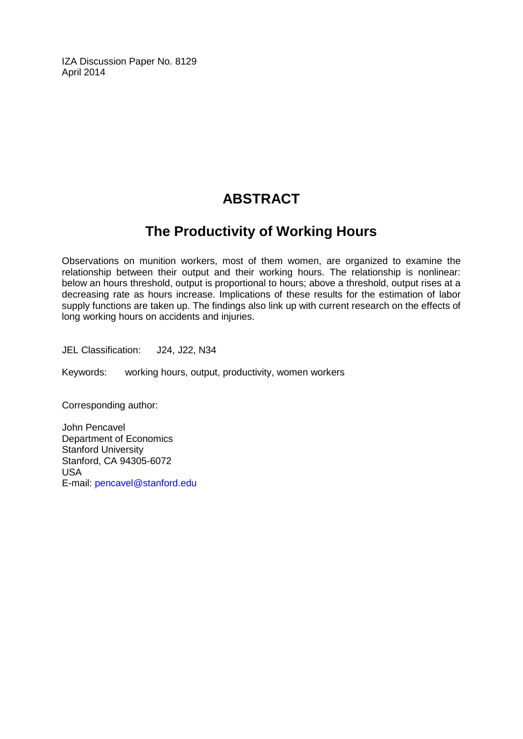IZA Discussion Paper No. 8129 April 2014

# **ABSTRACT**

# **The Productivity of Working Hours**

Observations on munition workers, most of them women, are organized to examine the relationship between their output and their working hours. The relationship is nonlinear: below an hours threshold, output is proportional to hours; above a threshold, output rises at a decreasing rate as hours increase. Implications of these results for the estimation of labor supply functions are taken up. The findings also link up with current research on the effects of long working hours on accidents and injuries.

JEL Classification: J24, J22, N34

Keywords: working hours, output, productivity, women workers

Corresponding author:

John Pencavel Department of Economics Stanford University Stanford, CA 94305-6072 USA E-mail: [pencavel@stanford.edu](mailto:pencavel@stanford.edu)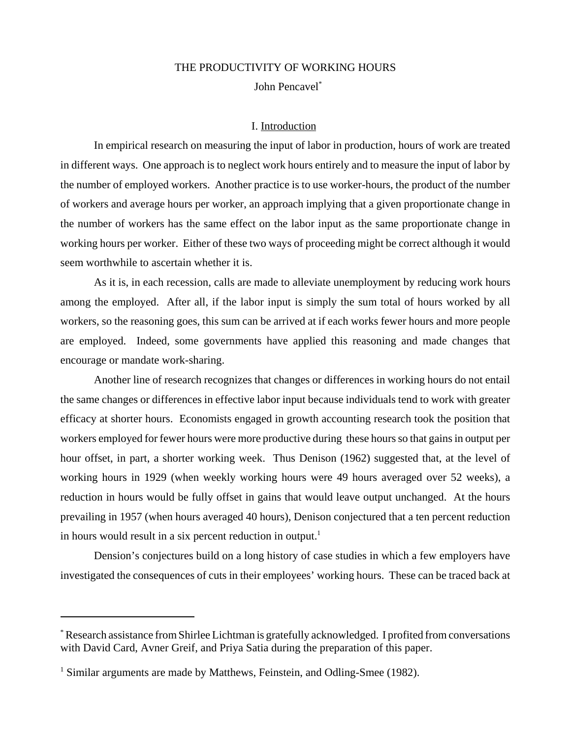# THE PRODUCTIVITY OF WORKING HOURS John Pencavel\*

#### I. Introduction

In empirical research on measuring the input of labor in production, hours of work are treated in different ways. One approach is to neglect work hours entirely and to measure the input of labor by the number of employed workers. Another practice is to use worker-hours, the product of the number of workers and average hours per worker, an approach implying that a given proportionate change in the number of workers has the same effect on the labor input as the same proportionate change in working hours per worker. Either of these two ways of proceeding might be correct although it would seem worthwhile to ascertain whether it is.

As it is, in each recession, calls are made to alleviate unemployment by reducing work hours among the employed. After all, if the labor input is simply the sum total of hours worked by all workers, so the reasoning goes, this sum can be arrived at if each works fewer hours and more people are employed. Indeed, some governments have applied this reasoning and made changes that encourage or mandate work-sharing.

Another line of research recognizes that changes or differences in working hours do not entail the same changes or differences in effective labor input because individuals tend to work with greater efficacy at shorter hours. Economists engaged in growth accounting research took the position that workers employed for fewer hours were more productive during these hours so that gains in output per hour offset, in part, a shorter working week. Thus Denison (1962) suggested that, at the level of working hours in 1929 (when weekly working hours were 49 hours averaged over 52 weeks), a reduction in hours would be fully offset in gains that would leave output unchanged. At the hours prevailing in 1957 (when hours averaged 40 hours), Denison conjectured that a ten percent reduction in hours would result in a six percent reduction in output.<sup>1</sup>

Dension's conjectures build on a long history of case studies in which a few employers have investigated the consequences of cuts in their employees' working hours. These can be traced back at

<sup>\*</sup> Research assistance from Shirlee Lichtman is gratefully acknowledged. I profited from conversations with David Card, Avner Greif, and Priya Satia during the preparation of this paper.

<sup>&</sup>lt;sup>1</sup> Similar arguments are made by Matthews, Feinstein, and Odling-Smee (1982).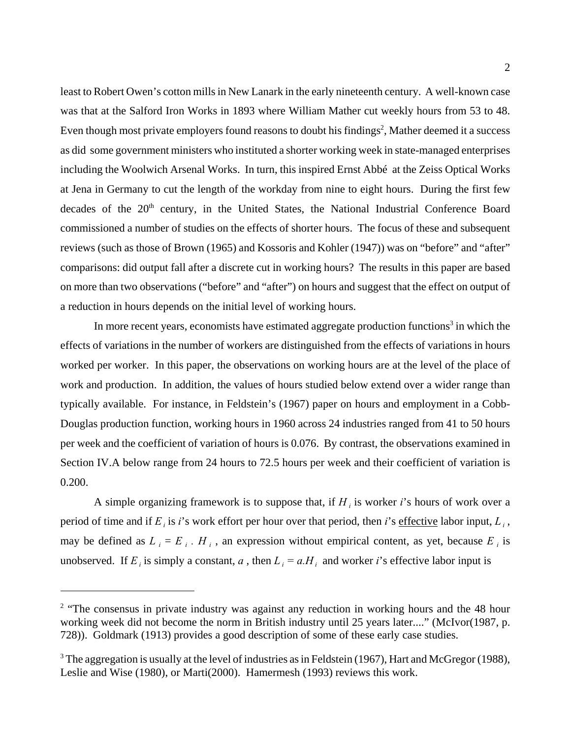least to Robert Owen's cotton mills in New Lanark in the early nineteenth century. A well-known case was that at the Salford Iron Works in 1893 where William Mather cut weekly hours from 53 to 48. Even though most private employers found reasons to doubt his findings<sup>2</sup>, Mather deemed it a success as did some government ministers who instituted a shorter working week in state-managed enterprises including the Woolwich Arsenal Works. In turn, this inspired Ernst Abbé at the Zeiss Optical Works at Jena in Germany to cut the length of the workday from nine to eight hours. During the first few decades of the 20<sup>th</sup> century, in the United States, the National Industrial Conference Board commissioned a number of studies on the effects of shorter hours. The focus of these and subsequent reviews (such as those of Brown (1965) and Kossoris and Kohler (1947)) was on "before" and "after" comparisons: did output fall after a discrete cut in working hours? The results in this paper are based on more than two observations ("before" and "after") on hours and suggest that the effect on output of a reduction in hours depends on the initial level of working hours.

In more recent years, economists have estimated aggregate production functions<sup>3</sup> in which the effects of variations in the number of workers are distinguished from the effects of variations in hours worked per worker. In this paper, the observations on working hours are at the level of the place of work and production. In addition, the values of hours studied below extend over a wider range than typically available. For instance, in Feldstein's (1967) paper on hours and employment in a Cobb-Douglas production function, working hours in 1960 across 24 industries ranged from 41 to 50 hours per week and the coefficient of variation of hours is 0.076. By contrast, the observations examined in Section IV.A below range from 24 hours to 72.5 hours per week and their coefficient of variation is 0.200.

A simple organizing framework is to suppose that, if  $H_i$  is worker *i*'s hours of work over a period of time and if  $E_i$  is *i*'s work effort per hour over that period, then *i*'s effective labor input,  $L_i$ , may be defined as  $L_i = E_i$ .  $H_i$ , an expression without empirical content, as yet, because  $E_i$  is unobserved. If  $E_i$  is simply a constant,  $a$ , then  $L_i = a.H_i$  and worker *i*'s effective labor input is

<sup>&</sup>lt;sup>2</sup> "The consensus in private industry was against any reduction in working hours and the 48 hour working week did not become the norm in British industry until 25 years later...." (McIvor(1987, p. 728)). Goldmark (1913) provides a good description of some of these early case studies.

 $3$  The aggregation is usually at the level of industries as in Feldstein (1967), Hart and McGregor (1988), Leslie and Wise (1980), or Marti(2000). Hamermesh (1993) reviews this work.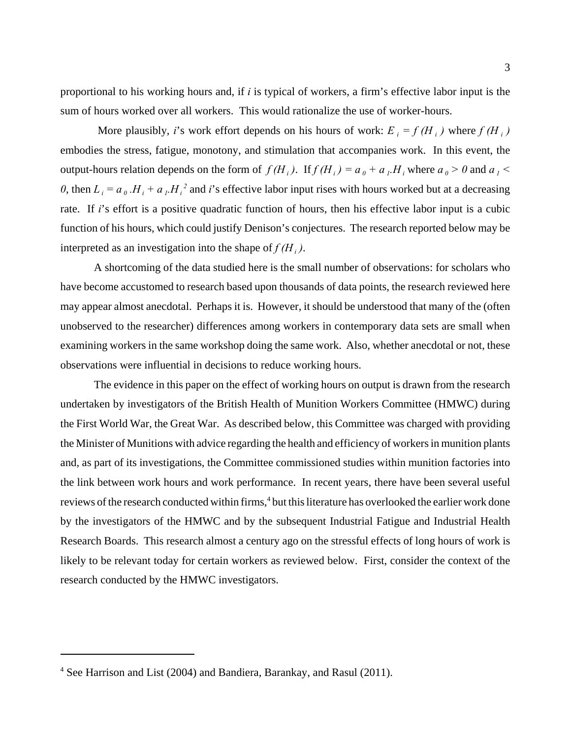proportional to his working hours and, if *i* is typical of workers, a firm's effective labor input is the sum of hours worked over all workers. This would rationalize the use of worker-hours.

More plausibly, *i*'s work effort depends on his hours of work:  $E_i = f(H_i)$  where  $f(H_i)$ embodies the stress, fatigue, monotony, and stimulation that accompanies work. In this event, the output-hours relation depends on the form of  $f(H_i)$ . If  $f(H_i) = a_0 + a_1 H_i$  where  $a_0 > 0$  and  $a_1 <$ *0*, then  $L_i = a_0 H_i + a_i H_i^2$  and *i*'s effective labor input rises with hours worked but at a decreasing rate. If *i*'s effort is a positive quadratic function of hours, then his effective labor input is a cubic function of his hours, which could justify Denison's conjectures. The research reported below may be interpreted as an investigation into the shape of  $f(H_i)$ .

A shortcoming of the data studied here is the small number of observations: for scholars who have become accustomed to research based upon thousands of data points, the research reviewed here may appear almost anecdotal. Perhaps it is. However, it should be understood that many of the (often unobserved to the researcher) differences among workers in contemporary data sets are small when examining workers in the same workshop doing the same work. Also, whether anecdotal or not, these observations were influential in decisions to reduce working hours.

The evidence in this paper on the effect of working hours on output is drawn from the research undertaken by investigators of the British Health of Munition Workers Committee (HMWC) during the First World War, the Great War. As described below, this Committee was charged with providing the Minister of Munitions with advice regarding the health and efficiency of workers in munition plants and, as part of its investigations, the Committee commissioned studies within munition factories into the link between work hours and work performance. In recent years, there have been several useful reviews of the research conducted within firms,<sup>4</sup> but this literature has overlooked the earlier work done by the investigators of the HMWC and by the subsequent Industrial Fatigue and Industrial Health Research Boards. This research almost a century ago on the stressful effects of long hours of work is likely to be relevant today for certain workers as reviewed below. First, consider the context of the research conducted by the HMWC investigators.

<sup>&</sup>lt;sup>4</sup> See Harrison and List (2004) and Bandiera, Barankay, and Rasul (2011).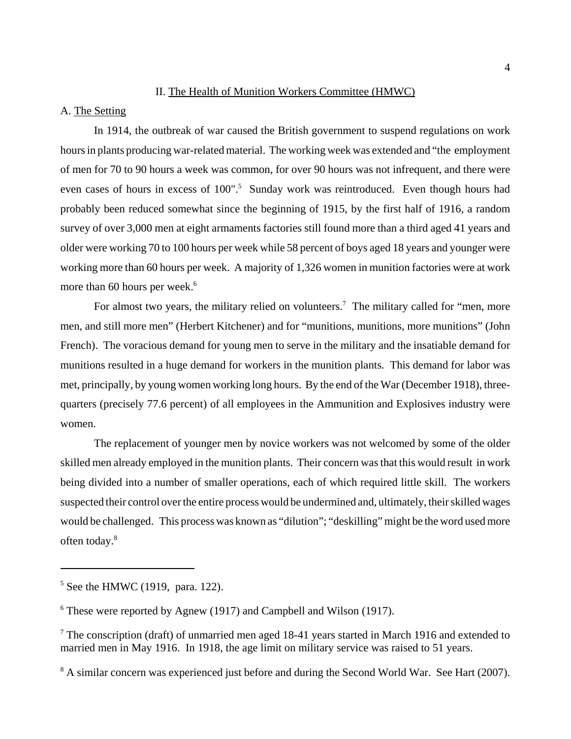#### II. The Health of Munition Workers Committee (HMWC)

#### A. The Setting

In 1914, the outbreak of war caused the British government to suspend regulations on work hours in plants producing war-related material. The working week was extended and "the employment of men for 70 to 90 hours a week was common, for over 90 hours was not infrequent, and there were even cases of hours in excess of 100".<sup>5</sup> Sunday work was reintroduced. Even though hours had probably been reduced somewhat since the beginning of 1915, by the first half of 1916, a random survey of over 3,000 men at eight armaments factories still found more than a third aged 41 years and older were working 70 to 100 hours per week while 58 percent of boys aged 18 years and younger were working more than 60 hours per week. A majority of 1,326 women in munition factories were at work more than 60 hours per week.<sup>6</sup>

For almost two years, the military relied on volunteers.<sup>7</sup> The military called for "men, more men, and still more men" (Herbert Kitchener) and for "munitions, munitions, more munitions" (John French). The voracious demand for young men to serve in the military and the insatiable demand for munitions resulted in a huge demand for workers in the munition plants. This demand for labor was met, principally, by young women working long hours. By the end of the War (December 1918), threequarters (precisely 77.6 percent) of all employees in the Ammunition and Explosives industry were women.

The replacement of younger men by novice workers was not welcomed by some of the older skilled men already employed in the munition plants. Their concern was that this would result in work being divided into a number of smaller operations, each of which required little skill. The workers suspected their control over the entire process would be undermined and, ultimately, their skilled wages would be challenged. This process was known as "dilution"; "deskilling" might be the word used more often today.<sup>8</sup>

 $<sup>5</sup>$  See the HMWC (1919, para. 122).</sup>

<sup>&</sup>lt;sup>6</sup> These were reported by Agnew (1917) and Campbell and Wilson (1917).

<sup>&</sup>lt;sup>7</sup> The conscription (draft) of unmarried men aged 18-41 years started in March 1916 and extended to married men in May 1916. In 1918, the age limit on military service was raised to 51 years.

<sup>&</sup>lt;sup>8</sup> A similar concern was experienced just before and during the Second World War. See Hart (2007).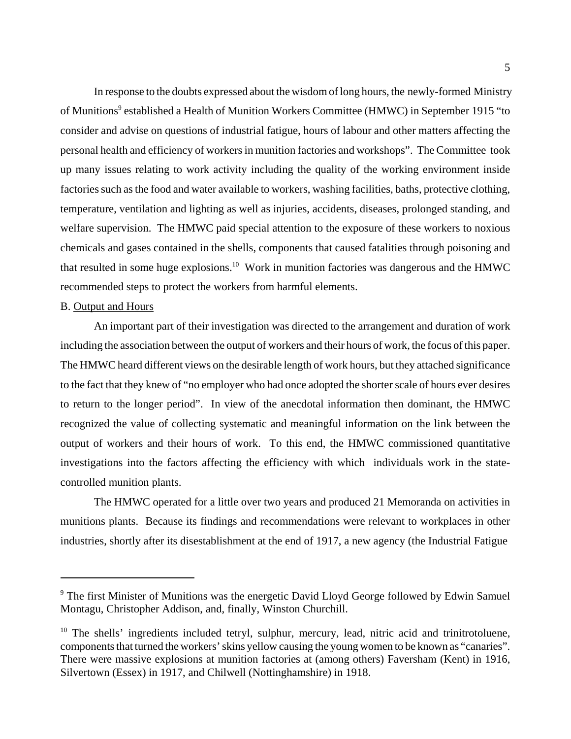In response to the doubts expressed about the wisdom of long hours, the newly-formed Ministry of Munitions<sup>9</sup> established a Health of Munition Workers Committee (HMWC) in September 1915 "to consider and advise on questions of industrial fatigue, hours of labour and other matters affecting the personal health and efficiency of workers in munition factories and workshops". The Committee took up many issues relating to work activity including the quality of the working environment inside factories such as the food and water available to workers, washing facilities, baths, protective clothing, temperature, ventilation and lighting as well as injuries, accidents, diseases, prolonged standing, and welfare supervision. The HMWC paid special attention to the exposure of these workers to noxious chemicals and gases contained in the shells, components that caused fatalities through poisoning and that resulted in some huge explosions.<sup>10</sup> Work in munition factories was dangerous and the HMWC recommended steps to protect the workers from harmful elements.

#### B. Output and Hours

An important part of their investigation was directed to the arrangement and duration of work including the association between the output of workers and their hours of work, the focus of this paper. The HMWC heard different views on the desirable length of work hours, but they attached significance to the fact that they knew of "no employer who had once adopted the shorter scale of hours ever desires to return to the longer period". In view of the anecdotal information then dominant, the HMWC recognized the value of collecting systematic and meaningful information on the link between the output of workers and their hours of work. To this end, the HMWC commissioned quantitative investigations into the factors affecting the efficiency with which individuals work in the statecontrolled munition plants.

The HMWC operated for a little over two years and produced 21 Memoranda on activities in munitions plants. Because its findings and recommendations were relevant to workplaces in other industries, shortly after its disestablishment at the end of 1917, a new agency (the Industrial Fatigue

<sup>&</sup>lt;sup>9</sup> The first Minister of Munitions was the energetic David Lloyd George followed by Edwin Samuel Montagu, Christopher Addison, and, finally, Winston Churchill.

 $10$  The shells' ingredients included tetryl, sulphur, mercury, lead, nitric acid and trinitrotoluene, components that turned the workers' skins yellow causing the young women to be known as "canaries". There were massive explosions at munition factories at (among others) Faversham (Kent) in 1916, Silvertown (Essex) in 1917, and Chilwell (Nottinghamshire) in 1918.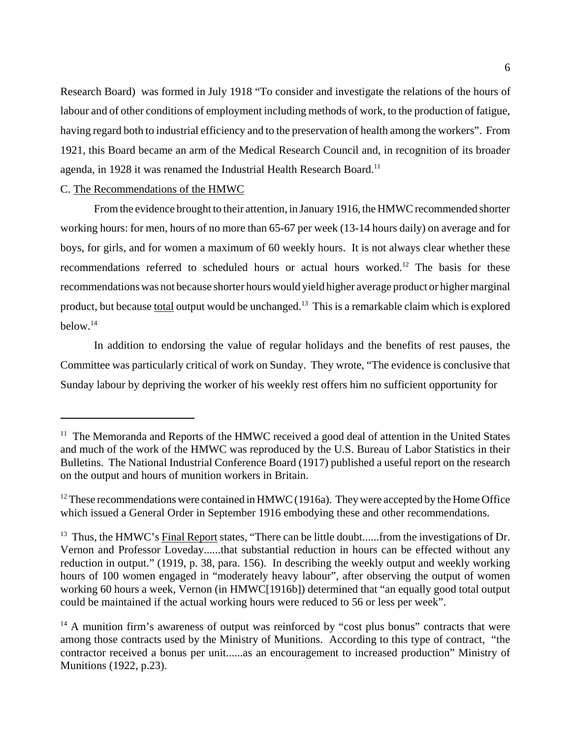Research Board) was formed in July 1918 "To consider and investigate the relations of the hours of labour and of other conditions of employment including methods of work, to the production of fatigue, having regard both to industrial efficiency and to the preservation of health among the workers". From 1921, this Board became an arm of the Medical Research Council and, in recognition of its broader agenda, in 1928 it was renamed the Industrial Health Research Board.<sup>11</sup>

#### C. The Recommendations of the HMWC

From the evidence brought to their attention, in January 1916, the HMWC recommended shorter working hours: for men, hours of no more than 65-67 per week (13-14 hours daily) on average and for boys, for girls, and for women a maximum of 60 weekly hours. It is not always clear whether these recommendations referred to scheduled hours or actual hours worked.<sup>12</sup> The basis for these recommendations was not because shorter hours would yield higher average product or higher marginal product, but because total output would be unchanged.13 This is a remarkable claim which is explored below.14

In addition to endorsing the value of regular holidays and the benefits of rest pauses, the Committee was particularly critical of work on Sunday. They wrote, "The evidence is conclusive that Sunday labour by depriving the worker of his weekly rest offers him no sufficient opportunity for

 $11$  The Memoranda and Reports of the HMWC received a good deal of attention in the United States and much of the work of the HMWC was reproduced by the U.S. Bureau of Labor Statistics in their Bulletins. The National Industrial Conference Board (1917) published a useful report on the research on the output and hours of munition workers in Britain.

 $12$  These recommendations were contained in HMWC (1916a). They were accepted by the Home Office which issued a General Order in September 1916 embodying these and other recommendations.

<sup>&</sup>lt;sup>13</sup> Thus, the HMWC's Final Report states, "There can be little doubt......from the investigations of Dr. Vernon and Professor Loveday......that substantial reduction in hours can be effected without any reduction in output." (1919, p. 38, para. 156). In describing the weekly output and weekly working hours of 100 women engaged in "moderately heavy labour", after observing the output of women working 60 hours a week, Vernon (in HMWC[1916b]) determined that "an equally good total output could be maintained if the actual working hours were reduced to 56 or less per week".

 $14$  A munition firm's awareness of output was reinforced by "cost plus bonus" contracts that were among those contracts used by the Ministry of Munitions. According to this type of contract, "the contractor received a bonus per unit......as an encouragement to increased production" Ministry of Munitions (1922, p.23).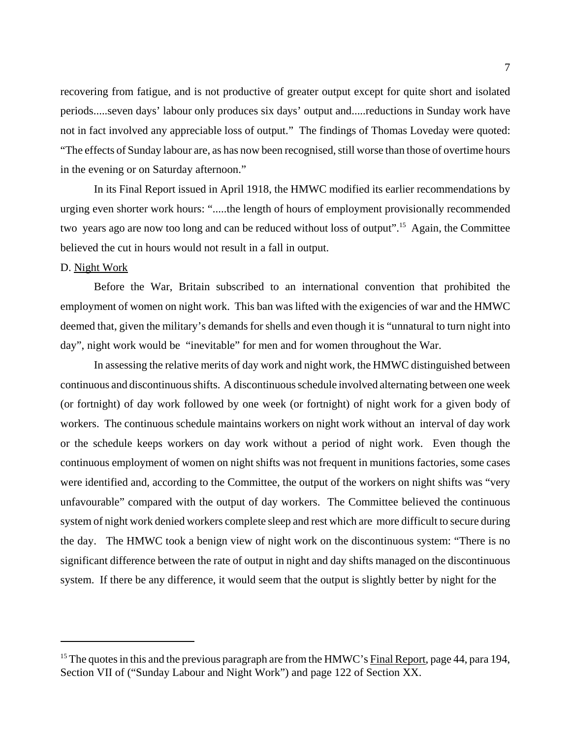recovering from fatigue, and is not productive of greater output except for quite short and isolated periods.....seven days' labour only produces six days' output and.....reductions in Sunday work have not in fact involved any appreciable loss of output." The findings of Thomas Loveday were quoted: "The effects of Sunday labour are, as has now been recognised, still worse than those of overtime hours in the evening or on Saturday afternoon."

In its Final Report issued in April 1918, the HMWC modified its earlier recommendations by urging even shorter work hours: ".....the length of hours of employment provisionally recommended two years ago are now too long and can be reduced without loss of output".<sup>15</sup> Again, the Committee believed the cut in hours would not result in a fall in output.

#### D. Night Work

Before the War, Britain subscribed to an international convention that prohibited the employment of women on night work. This ban was lifted with the exigencies of war and the HMWC deemed that, given the military's demands for shells and even though it is "unnatural to turn night into day", night work would be "inevitable" for men and for women throughout the War.

In assessing the relative merits of day work and night work, the HMWC distinguished between continuous and discontinuous shifts. A discontinuous schedule involved alternating between one week (or fortnight) of day work followed by one week (or fortnight) of night work for a given body of workers. The continuous schedule maintains workers on night work without an interval of day work or the schedule keeps workers on day work without a period of night work. Even though the continuous employment of women on night shifts was not frequent in munitions factories, some cases were identified and, according to the Committee, the output of the workers on night shifts was "very unfavourable" compared with the output of day workers. The Committee believed the continuous system of night work denied workers complete sleep and rest which are more difficult to secure during the day. The HMWC took a benign view of night work on the discontinuous system: "There is no significant difference between the rate of output in night and day shifts managed on the discontinuous system. If there be any difference, it would seem that the output is slightly better by night for the

<sup>&</sup>lt;sup>15</sup> The quotes in this and the previous paragraph are from the HMWC's Final Report, page 44, para 194, Section VII of ("Sunday Labour and Night Work") and page 122 of Section XX.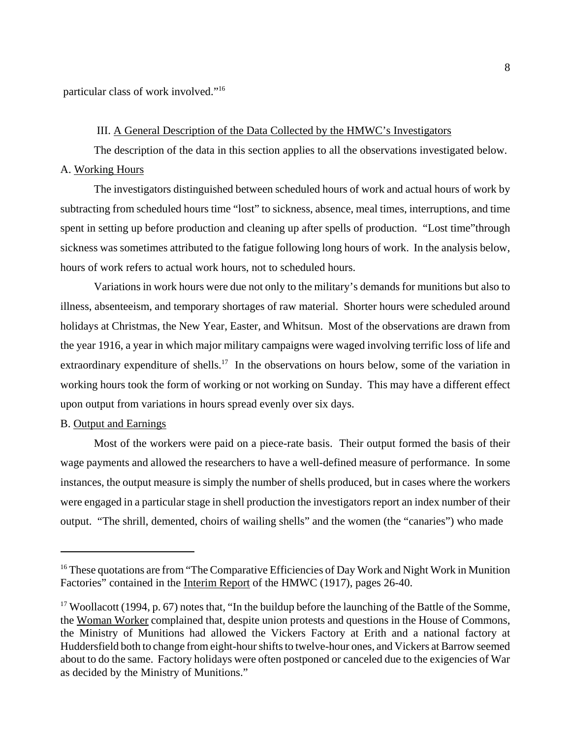particular class of work involved."16

#### III. A General Description of the Data Collected by the HMWC's Investigators

The description of the data in this section applies to all the observations investigated below. A. Working Hours

The investigators distinguished between scheduled hours of work and actual hours of work by subtracting from scheduled hours time "lost" to sickness, absence, meal times, interruptions, and time spent in setting up before production and cleaning up after spells of production. "Lost time"through sickness was sometimes attributed to the fatigue following long hours of work. In the analysis below, hours of work refers to actual work hours, not to scheduled hours.

Variations in work hours were due not only to the military's demands for munitions but also to illness, absenteeism, and temporary shortages of raw material. Shorter hours were scheduled around holidays at Christmas, the New Year, Easter, and Whitsun. Most of the observations are drawn from the year 1916, a year in which major military campaigns were waged involving terrific loss of life and extraordinary expenditure of shells.<sup>17</sup> In the observations on hours below, some of the variation in working hours took the form of working or not working on Sunday. This may have a different effect upon output from variations in hours spread evenly over six days.

#### B. Output and Earnings

Most of the workers were paid on a piece-rate basis. Their output formed the basis of their wage payments and allowed the researchers to have a well-defined measure of performance. In some instances, the output measure is simply the number of shells produced, but in cases where the workers were engaged in a particular stage in shell production the investigators report an index number of their output. "The shrill, demented, choirs of wailing shells" and the women (the "canaries") who made

 $16$  These quotations are from "The Comparative Efficiencies of Day Work and Night Work in Munition Factories" contained in the Interim Report of the HMWC (1917), pages 26-40.

<sup>&</sup>lt;sup>17</sup> Woollacott (1994, p. 67) notes that, "In the buildup before the launching of the Battle of the Somme, the Woman Worker complained that, despite union protests and questions in the House of Commons, the Ministry of Munitions had allowed the Vickers Factory at Erith and a national factory at Huddersfield both to change from eight-hour shifts to twelve-hour ones, and Vickers at Barrow seemed about to do the same. Factory holidays were often postponed or canceled due to the exigencies of War as decided by the Ministry of Munitions."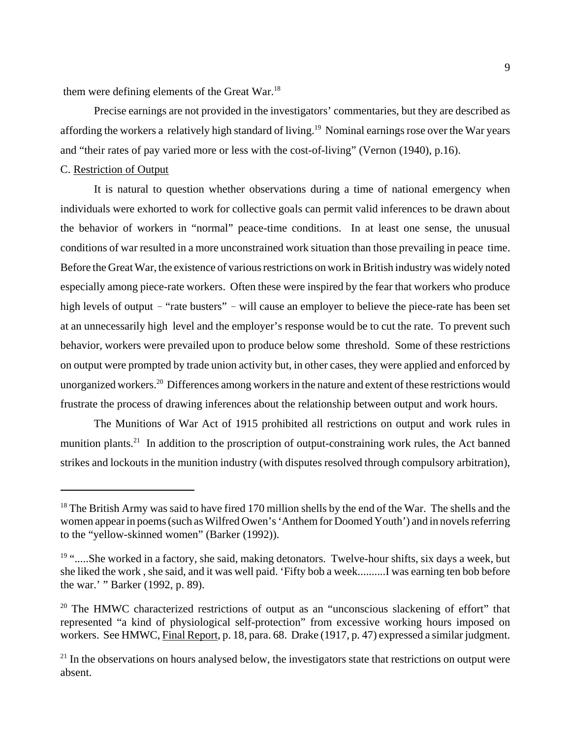them were defining elements of the Great War.<sup>18</sup>

Precise earnings are not provided in the investigators' commentaries, but they are described as affording the workers a relatively high standard of living.<sup>19</sup> Nominal earnings rose over the War years and "their rates of pay varied more or less with the cost-of-living" (Vernon (1940), p.16).

#### C. Restriction of Output

It is natural to question whether observations during a time of national emergency when individuals were exhorted to work for collective goals can permit valid inferences to be drawn about the behavior of workers in "normal" peace-time conditions. In at least one sense, the unusual conditions of war resulted in a more unconstrained work situation than those prevailing in peace time. Before the Great War, the existence of various restrictions on work in British industry was widely noted especially among piece-rate workers. Often these were inspired by the fear that workers who produce high levels of output - "rate busters" - will cause an employer to believe the piece-rate has been set at an unnecessarily high level and the employer's response would be to cut the rate. To prevent such behavior, workers were prevailed upon to produce below some threshold. Some of these restrictions on output were prompted by trade union activity but, in other cases, they were applied and enforced by unorganized workers.<sup>20</sup> Differences among workers in the nature and extent of these restrictions would frustrate the process of drawing inferences about the relationship between output and work hours.

The Munitions of War Act of 1915 prohibited all restrictions on output and work rules in munition plants.<sup>21</sup> In addition to the proscription of output-constraining work rules, the Act banned strikes and lockouts in the munition industry (with disputes resolved through compulsory arbitration),

<sup>&</sup>lt;sup>18</sup> The British Army was said to have fired 170 million shells by the end of the War. The shells and the women appear in poems (such as Wilfred Owen's 'Anthem for Doomed Youth') and in novels referring to the "yellow-skinned women" (Barker (1992)).

 $19$  ".....She worked in a factory, she said, making detonators. Twelve-hour shifts, six days a week, but she liked the work , she said, and it was well paid. 'Fifty bob a week..........I was earning ten bob before the war.' " Barker (1992, p. 89).

 $20$  The HMWC characterized restrictions of output as an "unconscious slackening of effort" that represented "a kind of physiological self-protection" from excessive working hours imposed on workers. See HMWC, Final Report, p. 18, para. 68. Drake (1917, p. 47) expressed a similar judgment.

 $21$  In the observations on hours analysed below, the investigators state that restrictions on output were absent.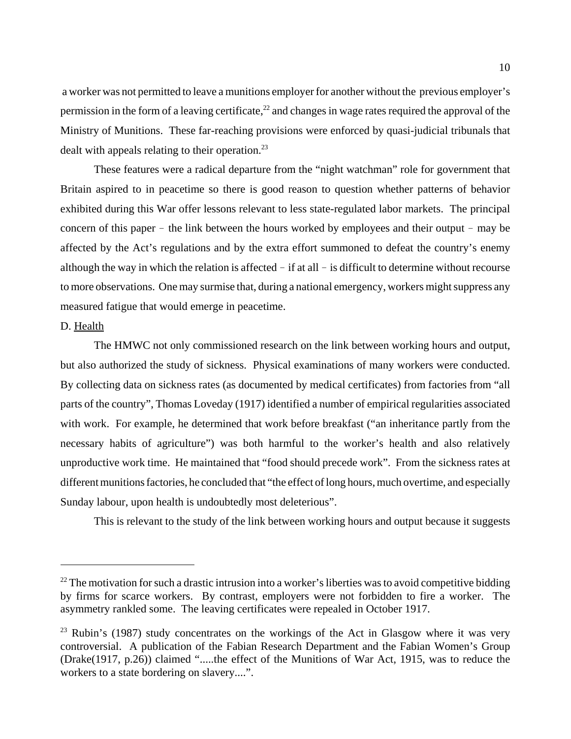a worker was not permitted to leave a munitions employer for another without the previous employer's permission in the form of a leaving certificate,<sup>22</sup> and changes in wage rates required the approval of the Ministry of Munitions. These far-reaching provisions were enforced by quasi-judicial tribunals that dealt with appeals relating to their operation.<sup>23</sup>

These features were a radical departure from the "night watchman" role for government that Britain aspired to in peacetime so there is good reason to question whether patterns of behavior exhibited during this War offer lessons relevant to less state-regulated labor markets. The principal concern of this paper  $-$  the link between the hours worked by employees and their output  $-$  may be affected by the Act's regulations and by the extra effort summoned to defeat the country's enemy although the way in which the relation is affected  $-$  if at all  $-$  is difficult to determine without recourse to more observations. One may surmise that, during a national emergency, workers might suppress any measured fatigue that would emerge in peacetime.

#### D. Health

The HMWC not only commissioned research on the link between working hours and output, but also authorized the study of sickness. Physical examinations of many workers were conducted. By collecting data on sickness rates (as documented by medical certificates) from factories from "all parts of the country", Thomas Loveday (1917) identified a number of empirical regularities associated with work. For example, he determined that work before breakfast ("an inheritance partly from the necessary habits of agriculture") was both harmful to the worker's health and also relatively unproductive work time. He maintained that "food should precede work". From the sickness rates at different munitions factories, he concluded that "the effect of long hours, much overtime, and especially Sunday labour, upon health is undoubtedly most deleterious".

This is relevant to the study of the link between working hours and output because it suggests

 $^{22}$  The motivation for such a drastic intrusion into a worker's liberties was to avoid competitive bidding by firms for scarce workers. By contrast, employers were not forbidden to fire a worker. The asymmetry rankled some. The leaving certificates were repealed in October 1917.

 $23$  Rubin's (1987) study concentrates on the workings of the Act in Glasgow where it was very controversial. A publication of the Fabian Research Department and the Fabian Women's Group (Drake(1917, p.26)) claimed ".....the effect of the Munitions of War Act, 1915, was to reduce the workers to a state bordering on slavery....".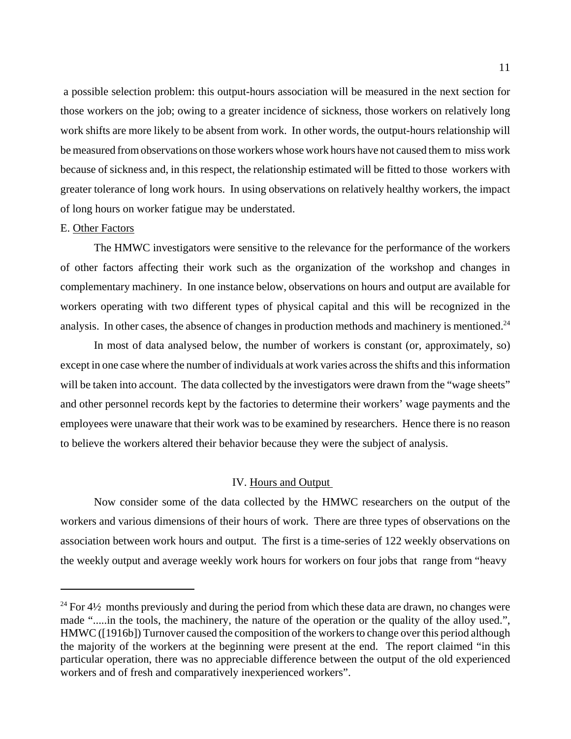a possible selection problem: this output-hours association will be measured in the next section for those workers on the job; owing to a greater incidence of sickness, those workers on relatively long work shifts are more likely to be absent from work. In other words, the output-hours relationship will be measured from observations on those workers whose work hours have not caused them to miss work because of sickness and, in this respect, the relationship estimated will be fitted to those workers with greater tolerance of long work hours. In using observations on relatively healthy workers, the impact of long hours on worker fatigue may be understated.

#### E. Other Factors

The HMWC investigators were sensitive to the relevance for the performance of the workers of other factors affecting their work such as the organization of the workshop and changes in complementary machinery. In one instance below, observations on hours and output are available for workers operating with two different types of physical capital and this will be recognized in the analysis. In other cases, the absence of changes in production methods and machinery is mentioned.<sup>24</sup>

In most of data analysed below, the number of workers is constant (or, approximately, so) except in one case where the number of individuals at work varies across the shifts and this information will be taken into account. The data collected by the investigators were drawn from the "wage sheets" and other personnel records kept by the factories to determine their workers' wage payments and the employees were unaware that their work was to be examined by researchers. Hence there is no reason to believe the workers altered their behavior because they were the subject of analysis.

#### IV. Hours and Output

Now consider some of the data collected by the HMWC researchers on the output of the workers and various dimensions of their hours of work. There are three types of observations on the association between work hours and output. The first is a time-series of 122 weekly observations on the weekly output and average weekly work hours for workers on four jobs that range from "heavy

<sup>&</sup>lt;sup>24</sup> For  $4\frac{1}{2}$  months previously and during the period from which these data are drawn, no changes were made ".....in the tools, the machinery, the nature of the operation or the quality of the alloy used.", HMWC ([1916b]) Turnover caused the composition of the workers to change over this period although the majority of the workers at the beginning were present at the end. The report claimed "in this particular operation, there was no appreciable difference between the output of the old experienced workers and of fresh and comparatively inexperienced workers".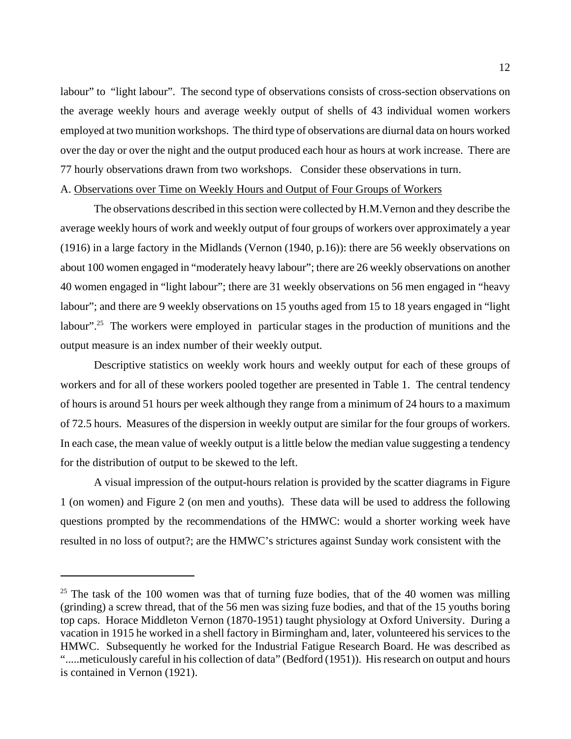labour" to "light labour". The second type of observations consists of cross-section observations on the average weekly hours and average weekly output of shells of 43 individual women workers employed at two munition workshops. The third type of observations are diurnal data on hours worked over the day or over the night and the output produced each hour as hours at work increase. There are 77 hourly observations drawn from two workshops. Consider these observations in turn.

#### A. Observations over Time on Weekly Hours and Output of Four Groups of Workers

The observations described in this section were collected by H.M.Vernon and they describe the average weekly hours of work and weekly output of four groups of workers over approximately a year (1916) in a large factory in the Midlands (Vernon (1940, p.16)): there are 56 weekly observations on about 100 women engaged in "moderately heavy labour"; there are 26 weekly observations on another 40 women engaged in "light labour"; there are 31 weekly observations on 56 men engaged in "heavy labour"; and there are 9 weekly observations on 15 youths aged from 15 to 18 years engaged in "light labour".<sup>25</sup> The workers were employed in particular stages in the production of munitions and the output measure is an index number of their weekly output.

Descriptive statistics on weekly work hours and weekly output for each of these groups of workers and for all of these workers pooled together are presented in Table 1. The central tendency of hours is around 51 hours per week although they range from a minimum of 24 hours to a maximum of 72.5 hours. Measures of the dispersion in weekly output are similar for the four groups of workers. In each case, the mean value of weekly output is a little below the median value suggesting a tendency for the distribution of output to be skewed to the left.

A visual impression of the output-hours relation is provided by the scatter diagrams in Figure 1 (on women) and Figure 2 (on men and youths). These data will be used to address the following questions prompted by the recommendations of the HMWC: would a shorter working week have resulted in no loss of output?; are the HMWC's strictures against Sunday work consistent with the

 $25$  The task of the 100 women was that of turning fuze bodies, that of the 40 women was milling (grinding) a screw thread, that of the 56 men was sizing fuze bodies, and that of the 15 youths boring top caps. Horace Middleton Vernon (1870-1951) taught physiology at Oxford University. During a vacation in 1915 he worked in a shell factory in Birmingham and, later, volunteered his services to the HMWC. Subsequently he worked for the Industrial Fatigue Research Board. He was described as ".....meticulously careful in his collection of data" (Bedford (1951)). His research on output and hours is contained in Vernon (1921).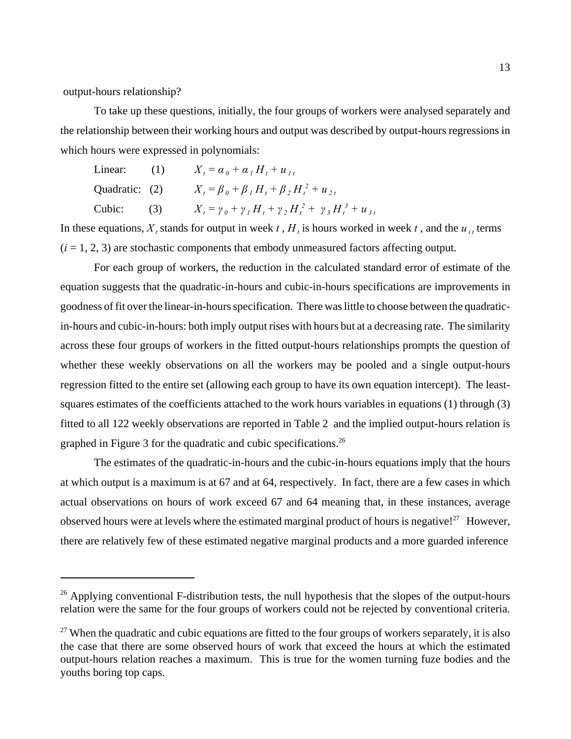output-hours relationship?

To take up these questions, initially, the four groups of workers were analysed separately and the relationship between their working hours and output was described by output-hours regressions in which hours were expressed in polynomials:

| Linear: $(1)$  |     | $X_i = \alpha_0 + \alpha_1 H_i + u_{1i}$                                |
|----------------|-----|-------------------------------------------------------------------------|
| Quadratic: (2) |     | $X_t = \beta_0 + \beta_1 H_t + \beta_2 H_t^2 + u_{2t}$                  |
| Cubic:         | (3) | $X_t = \gamma_0 + \gamma_1 H_t + \gamma_2 H_t^2 + \gamma_3 H_t^3 + u_3$ |

In these equations,  $X_t$ , stands for output in week  $t$ ,  $H_t$  is hours worked in week  $t$ , and the  $u_{i,t}$  terms  $(i = 1, 2, 3)$  are stochastic components that embody unmeasured factors affecting output.

For each group of workers, the reduction in the calculated standard error of estimate of the equation suggests that the quadratic-in-hours and cubic-in-hours specifications are improvements in goodness of fit over the linear-in-hours specification. There was little to choose between the quadraticin-hours and cubic-in-hours: both imply output rises with hours but at a decreasing rate. The similarity across these four groups of workers in the fitted output-hours relationships prompts the question of whether these weekly observations on all the workers may be pooled and a single output-hours regression fitted to the entire set (allowing each group to have its own equation intercept). The leastsquares estimates of the coefficients attached to the work hours variables in equations (1) through (3) fitted to all 122 weekly observations are reported in Table 2 and the implied output-hours relation is graphed in Figure 3 for the quadratic and cubic specifications.<sup>26</sup>

The estimates of the quadratic-in-hours and the cubic-in-hours equations imply that the hours at which output is a maximum is at 67 and at 64, respectively. In fact, there are a few cases in which actual observations on hours of work exceed 67 and 64 meaning that, in these instances, average observed hours were at levels where the estimated marginal product of hours is negative!<sup>27</sup> However, there are relatively few of these estimated negative marginal products and a more guarded inference

 $26$  Applying conventional F-distribution tests, the null hypothesis that the slopes of the output-hours relation were the same for the four groups of workers could not be rejected by conventional criteria.

 $^{27}$  When the quadratic and cubic equations are fitted to the four groups of workers separately, it is also the case that there are some observed hours of work that exceed the hours at which the estimated output-hours relation reaches a maximum. This is true for the women turning fuze bodies and the youths boring top caps.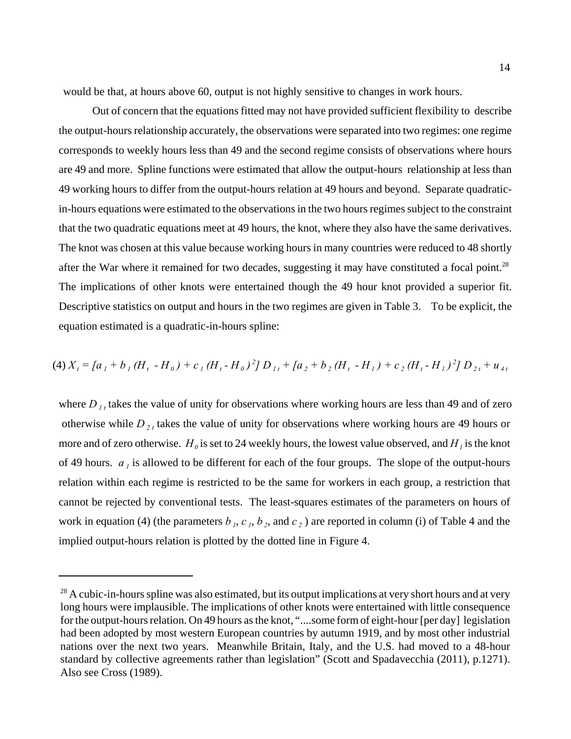would be that, at hours above 60, output is not highly sensitive to changes in work hours.

Out of concern that the equations fitted may not have provided sufficient flexibility to describe the output-hours relationship accurately, the observations were separated into two regimes: one regime corresponds to weekly hours less than 49 and the second regime consists of observations where hours are 49 and more. Spline functions were estimated that allow the output-hours relationship at less than 49 working hours to differ from the output-hours relation at 49 hours and beyond. Separate quadraticin-hours equations were estimated to the observations in the two hours regimes subject to the constraint that the two quadratic equations meet at 49 hours, the knot, where they also have the same derivatives. The knot was chosen at this value because working hours in many countries were reduced to 48 shortly after the War where it remained for two decades, suggesting it may have constituted a focal point.<sup>28</sup> The implications of other knots were entertained though the 49 hour knot provided a superior fit. Descriptive statistics on output and hours in the two regimes are given in Table 3. To be explicit, the equation estimated is a quadratic-in-hours spline:

$$
(4) X_{t} = [a_{1} + b_{1} (H_{t} - H_{0}) + c_{1} (H_{t} - H_{0})^{2}] D_{1t} + [a_{2} + b_{2} (H_{t} - H_{1}) + c_{2} (H_{t} - H_{1})^{2}] D_{2t} + u_{4t}
$$

where  $D_{1}$  takes the value of unity for observations where working hours are less than 49 and of zero otherwise while  $D_{2t}$  takes the value of unity for observations where working hours are 49 hours or more and of zero otherwise.  $H_0$  is set to 24 weekly hours, the lowest value observed, and  $H_1$  is the knot of 49 hours.  $a_i$  is allowed to be different for each of the four groups. The slope of the output-hours relation within each regime is restricted to be the same for workers in each group, a restriction that cannot be rejected by conventional tests. The least-squares estimates of the parameters on hours of work in equation (4) (the parameters  $b_i$ ,  $c_i$ ,  $b_j$ , and  $c_j$ ) are reported in column (i) of Table 4 and the implied output-hours relation is plotted by the dotted line in Figure 4.

<sup>&</sup>lt;sup>28</sup> A cubic-in-hours spline was also estimated, but its output implications at very short hours and at very long hours were implausible. The implications of other knots were entertained with little consequence for the output-hours relation. On 49 hours as the knot, "....some form of eight-hour [per day] legislation had been adopted by most western European countries by autumn 1919, and by most other industrial nations over the next two years. Meanwhile Britain, Italy, and the U.S. had moved to a 48-hour standard by collective agreements rather than legislation" (Scott and Spadavecchia (2011), p.1271). Also see Cross (1989).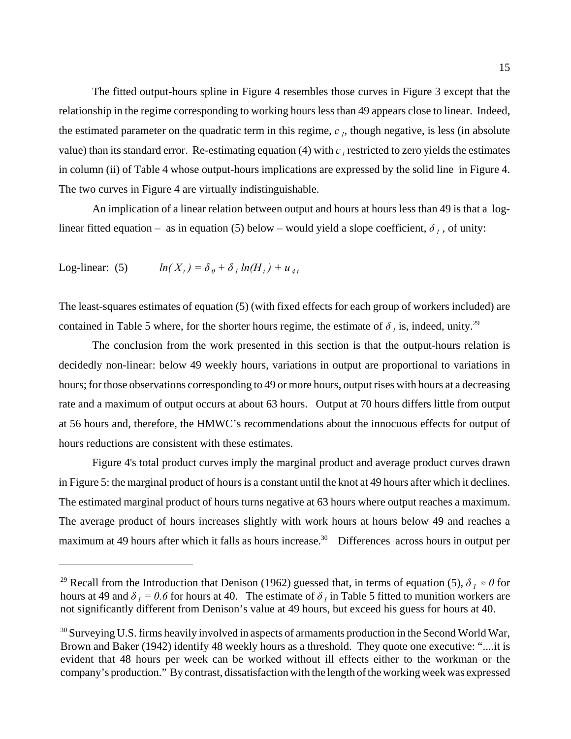The fitted output-hours spline in Figure 4 resembles those curves in Figure 3 except that the relationship in the regime corresponding to working hours less than 49 appears close to linear. Indeed, the estimated parameter on the quadratic term in this regime,  $c<sub>i</sub>$ , though negative, is less (in absolute value) than its standard error. Re-estimating equation  $(4)$  with  $c<sub>1</sub>$  restricted to zero yields the estimates in column (ii) of Table 4 whose output-hours implications are expressed by the solid line in Figure 4. The two curves in Figure 4 are virtually indistinguishable.

An implication of a linear relation between output and hours at hours less than 49 is that a loglinear fitted equation – as in equation (5) below – would yield a slope coefficient,  $\delta_i$ , of unity:

$$
Log-linear: (5) \qquad ln(X_t) = \delta_0 + \delta_1 ln(H_t) + u_{4t}
$$

The least-squares estimates of equation (5) (with fixed effects for each group of workers included) are contained in Table 5 where, for the shorter hours regime, the estimate of  $\delta_1$  is, indeed, unity.<sup>29</sup>

The conclusion from the work presented in this section is that the output-hours relation is decidedly non-linear: below 49 weekly hours, variations in output are proportional to variations in hours; for those observations corresponding to 49 or more hours, output rises with hours at a decreasing rate and a maximum of output occurs at about 63 hours. Output at 70 hours differs little from output at 56 hours and, therefore, the HMWC's recommendations about the innocuous effects for output of hours reductions are consistent with these estimates.

Figure 4's total product curves imply the marginal product and average product curves drawn in Figure 5: the marginal product of hours is a constant until the knot at 49 hours after which it declines. The estimated marginal product of hours turns negative at 63 hours where output reaches a maximum. The average product of hours increases slightly with work hours at hours below 49 and reaches a maximum at 49 hours after which it falls as hours increase.<sup>30</sup> Differences across hours in output per

<sup>&</sup>lt;sup>29</sup> Recall from the Introduction that Denison (1962) guessed that, in terms of equation (5),  $\delta_1 \approx 0$  for hours at 49 and  $\delta_1 = 0.6$  for hours at 40. The estimate of  $\delta_1$  in Table 5 fitted to munition workers are not significantly different from Denison's value at 49 hours, but exceed his guess for hours at 40.

 $30$  Surveying U.S. firms heavily involved in aspects of armaments production in the Second World War, Brown and Baker (1942) identify 48 weekly hours as a threshold. They quote one executive: "....it is evident that 48 hours per week can be worked without ill effects either to the workman or the company's production." By contrast, dissatisfaction with the length of the working week was expressed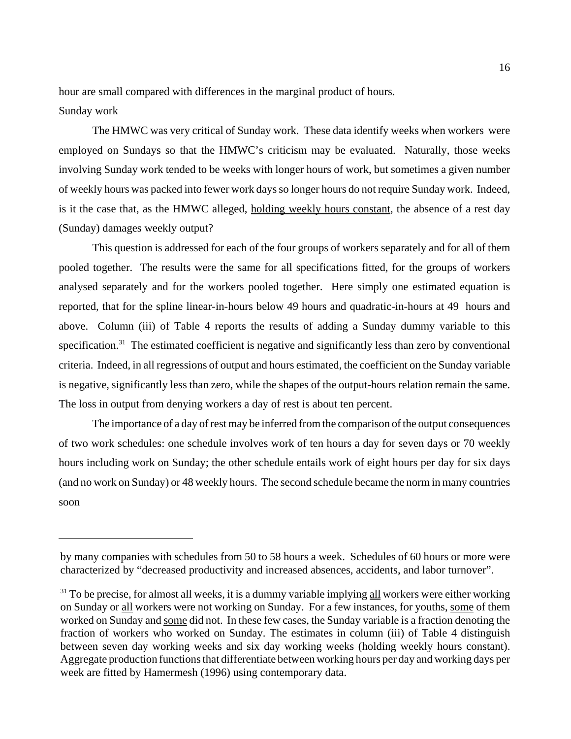hour are small compared with differences in the marginal product of hours.

#### Sunday work

The HMWC was very critical of Sunday work. These data identify weeks when workers were employed on Sundays so that the HMWC's criticism may be evaluated. Naturally, those weeks involving Sunday work tended to be weeks with longer hours of work, but sometimes a given number of weekly hours was packed into fewer work days so longer hours do not require Sunday work. Indeed, is it the case that, as the HMWC alleged, holding weekly hours constant, the absence of a rest day (Sunday) damages weekly output?

This question is addressed for each of the four groups of workers separately and for all of them pooled together. The results were the same for all specifications fitted, for the groups of workers analysed separately and for the workers pooled together. Here simply one estimated equation is reported, that for the spline linear-in-hours below 49 hours and quadratic-in-hours at 49 hours and above. Column (iii) of Table 4 reports the results of adding a Sunday dummy variable to this specification.<sup>31</sup> The estimated coefficient is negative and significantly less than zero by conventional criteria. Indeed, in all regressions of output and hours estimated, the coefficient on the Sunday variable is negative, significantly less than zero, while the shapes of the output-hours relation remain the same. The loss in output from denying workers a day of rest is about ten percent.

The importance of a day of rest may be inferred from the comparison of the output consequences of two work schedules: one schedule involves work of ten hours a day for seven days or 70 weekly hours including work on Sunday; the other schedule entails work of eight hours per day for six days (and no work on Sunday) or 48 weekly hours. The second schedule became the norm in many countries soon

by many companies with schedules from 50 to 58 hours a week. Schedules of 60 hours or more were characterized by "decreased productivity and increased absences, accidents, and labor turnover".

 $31$  To be precise, for almost all weeks, it is a dummy variable implying all workers were either working on Sunday or all workers were not working on Sunday. For a few instances, for youths, some of them worked on Sunday and some did not. In these few cases, the Sunday variable is a fraction denoting the fraction of workers who worked on Sunday. The estimates in column (iii) of Table 4 distinguish between seven day working weeks and six day working weeks (holding weekly hours constant). Aggregate production functions that differentiate between working hours per day and working days per week are fitted by Hamermesh (1996) using contemporary data.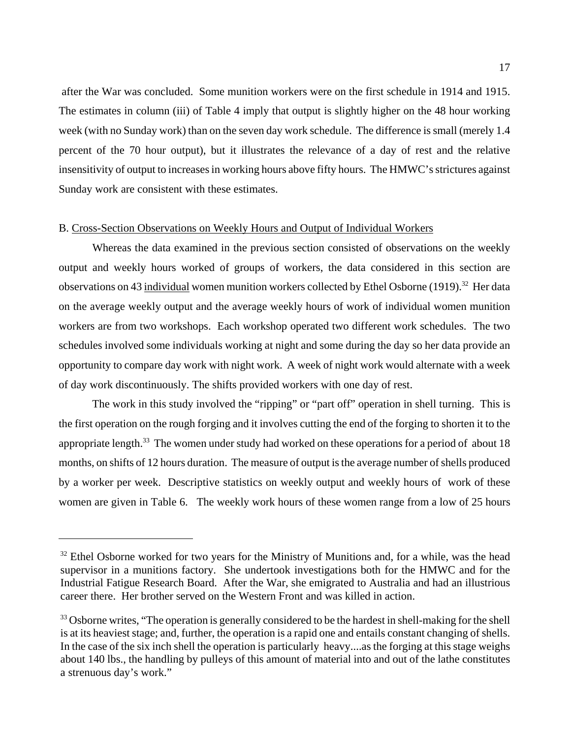after the War was concluded. Some munition workers were on the first schedule in 1914 and 1915. The estimates in column (iii) of Table 4 imply that output is slightly higher on the 48 hour working week (with no Sunday work) than on the seven day work schedule. The difference is small (merely 1.4 percent of the 70 hour output), but it illustrates the relevance of a day of rest and the relative insensitivity of output to increases in working hours above fifty hours. The HMWC's strictures against Sunday work are consistent with these estimates.

#### B. Cross-Section Observations on Weekly Hours and Output of Individual Workers

Whereas the data examined in the previous section consisted of observations on the weekly output and weekly hours worked of groups of workers, the data considered in this section are observations on 43 individual women munition workers collected by Ethel Osborne (1919).<sup>32</sup> Her data on the average weekly output and the average weekly hours of work of individual women munition workers are from two workshops. Each workshop operated two different work schedules. The two schedules involved some individuals working at night and some during the day so her data provide an opportunity to compare day work with night work. A week of night work would alternate with a week of day work discontinuously. The shifts provided workers with one day of rest.

 The work in this study involved the "ripping" or "part off" operation in shell turning. This is the first operation on the rough forging and it involves cutting the end of the forging to shorten it to the appropriate length.<sup>33</sup> The women under study had worked on these operations for a period of about 18 months, on shifts of 12 hours duration. The measure of output is the average number of shells produced by a worker per week. Descriptive statistics on weekly output and weekly hours of work of these women are given in Table 6. The weekly work hours of these women range from a low of 25 hours

 $32$  Ethel Osborne worked for two years for the Ministry of Munitions and, for a while, was the head supervisor in a munitions factory. She undertook investigations both for the HMWC and for the Industrial Fatigue Research Board. After the War, she emigrated to Australia and had an illustrious career there. Her brother served on the Western Front and was killed in action.

<sup>&</sup>lt;sup>33</sup> Osborne writes, "The operation is generally considered to be the hardest in shell-making for the shell is at its heaviest stage; and, further, the operation is a rapid one and entails constant changing of shells. In the case of the six inch shell the operation is particularly heavy....as the forging at this stage weighs about 140 lbs., the handling by pulleys of this amount of material into and out of the lathe constitutes a strenuous day's work."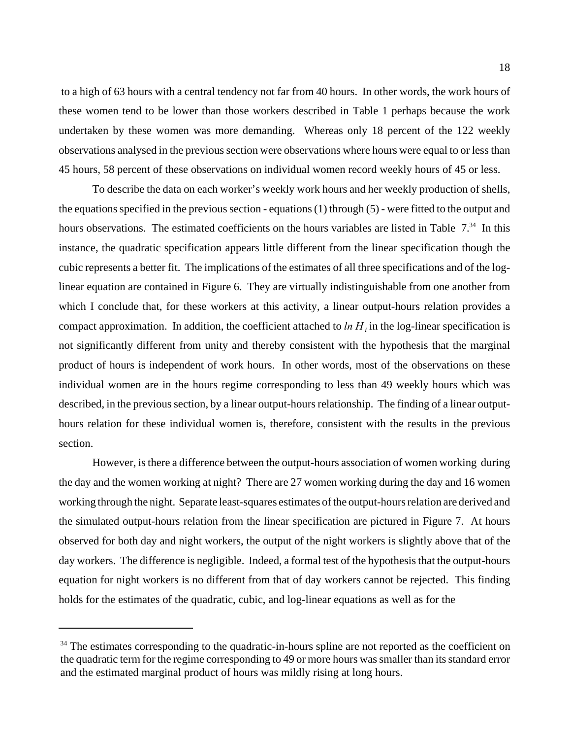to a high of 63 hours with a central tendency not far from 40 hours. In other words, the work hours of these women tend to be lower than those workers described in Table 1 perhaps because the work undertaken by these women was more demanding. Whereas only 18 percent of the 122 weekly observations analysed in the previous section were observations where hours were equal to or less than 45 hours, 58 percent of these observations on individual women record weekly hours of 45 or less.

To describe the data on each worker's weekly work hours and her weekly production of shells, the equations specified in the previous section - equations (1) through (5) - were fitted to the output and hours observations. The estimated coefficients on the hours variables are listed in Table 7.<sup>34</sup> In this instance, the quadratic specification appears little different from the linear specification though the cubic represents a better fit. The implications of the estimates of all three specifications and of the loglinear equation are contained in Figure 6. They are virtually indistinguishable from one another from which I conclude that, for these workers at this activity, a linear output-hours relation provides a compact approximation. In addition, the coefficient attached to  $ln H_i$  in the log-linear specification is not significantly different from unity and thereby consistent with the hypothesis that the marginal product of hours is independent of work hours. In other words, most of the observations on these individual women are in the hours regime corresponding to less than 49 weekly hours which was described, in the previous section, by a linear output-hours relationship. The finding of a linear outputhours relation for these individual women is, therefore, consistent with the results in the previous section.

However, is there a difference between the output-hours association of women working during the day and the women working at night? There are 27 women working during the day and 16 women working through the night. Separate least-squares estimates of the output-hours relation are derived and the simulated output-hours relation from the linear specification are pictured in Figure 7. At hours observed for both day and night workers, the output of the night workers is slightly above that of the day workers. The difference is negligible. Indeed, a formal test of the hypothesis that the output-hours equation for night workers is no different from that of day workers cannot be rejected. This finding holds for the estimates of the quadratic, cubic, and log-linear equations as well as for the

<sup>&</sup>lt;sup>34</sup> The estimates corresponding to the quadratic-in-hours spline are not reported as the coefficient on the quadratic term for the regime corresponding to 49 or more hours was smaller than its standard error and the estimated marginal product of hours was mildly rising at long hours.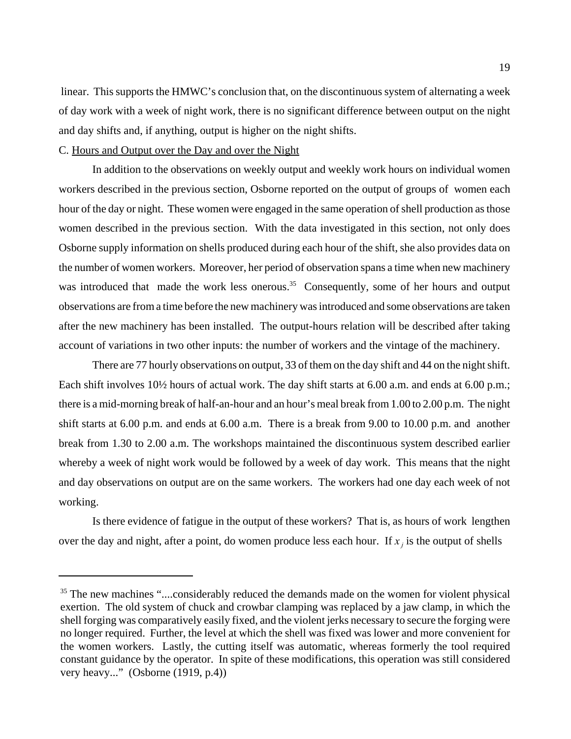linear. This supports the HMWC's conclusion that, on the discontinuous system of alternating a week of day work with a week of night work, there is no significant difference between output on the night and day shifts and, if anything, output is higher on the night shifts.

#### C. Hours and Output over the Day and over the Night

In addition to the observations on weekly output and weekly work hours on individual women workers described in the previous section, Osborne reported on the output of groups of women each hour of the day or night. These women were engaged in the same operation of shell production as those women described in the previous section. With the data investigated in this section, not only does Osborne supply information on shells produced during each hour of the shift, she also provides data on the number of women workers. Moreover, her period of observation spans a time when new machinery was introduced that made the work less onerous.<sup>35</sup> Consequently, some of her hours and output observations are from a time before the new machinery was introduced and some observations are taken after the new machinery has been installed. The output-hours relation will be described after taking account of variations in two other inputs: the number of workers and the vintage of the machinery.

There are 77 hourly observations on output, 33 of them on the day shift and 44 on the night shift. Each shift involves  $10\frac{1}{2}$  hours of actual work. The day shift starts at 6.00 a.m. and ends at 6.00 p.m.; there is a mid-morning break of half-an-hour and an hour's meal break from 1.00 to 2.00 p.m. The night shift starts at 6.00 p.m. and ends at 6.00 a.m. There is a break from 9.00 to 10.00 p.m. and another break from 1.30 to 2.00 a.m. The workshops maintained the discontinuous system described earlier whereby a week of night work would be followed by a week of day work. This means that the night and day observations on output are on the same workers. The workers had one day each week of not working.

Is there evidence of fatigue in the output of these workers? That is, as hours of work lengthen over the day and night, after a point, do women produce less each hour. If  $x_j$  is the output of shells

<sup>&</sup>lt;sup>35</sup> The new machines "....considerably reduced the demands made on the women for violent physical exertion. The old system of chuck and crowbar clamping was replaced by a jaw clamp, in which the shell forging was comparatively easily fixed, and the violent jerks necessary to secure the forging were no longer required. Further, the level at which the shell was fixed was lower and more convenient for the women workers. Lastly, the cutting itself was automatic, whereas formerly the tool required constant guidance by the operator. In spite of these modifications, this operation was still considered very heavy..." (Osborne (1919, p.4))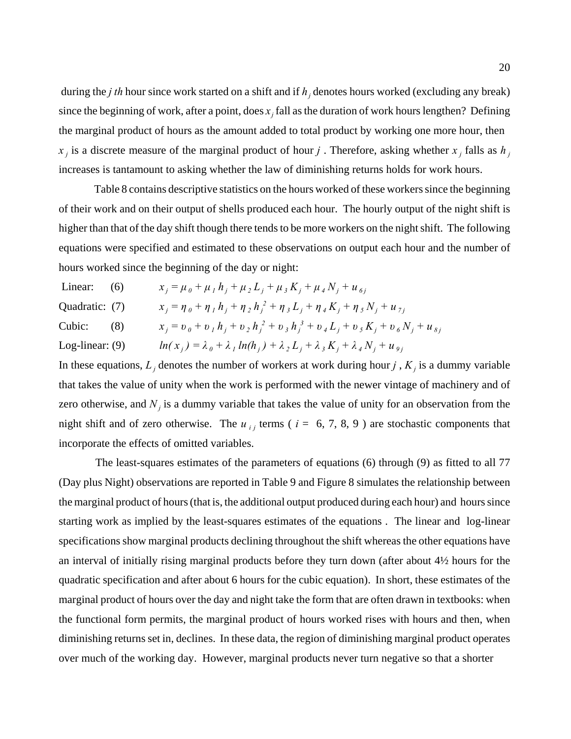during the *j th* hour since work started on a shift and if *h j* denotes hours worked (excluding any break) since the beginning of work, after a point, does  $x_j$  fall as the duration of work hours lengthen? Defining the marginal product of hours as the amount added to total product by working one more hour, then  $x_i$  is a discrete measure of the marginal product of hour *j*. Therefore, asking whether  $x_i$  falls as  $h_i$ increases is tantamount to asking whether the law of diminishing returns holds for work hours.

 Table 8 contains descriptive statistics on the hours worked of these workers since the beginning of their work and on their output of shells produced each hour. The hourly output of the night shift is higher than that of the day shift though there tends to be more workers on the night shift. The following equations were specified and estimated to these observations on output each hour and the number of hours worked since the beginning of the day or night:

Linear: (6)  $x_i = \mu_0 + \mu_1 h_i + \mu_2 L_i + \mu_3 K_i + \mu_4 N_i + u_{6i}$ Quadratic: (7)  $x_j = \eta_0 + \eta_1 h_j + \eta_2 h_j^2 + \eta_3 L_j + \eta_4 K_j + \eta_5 N_j + u_{7j}$ Cubic: (8)  $x_j = v_0 + v_1 h_j + v_2 h_j^2 + v_3 h_j^3 + v_4 L_j + v_5 K_j + v_6 N_j + u_{8j}$ Log-linear: (9)  $ln(x_i) = \lambda_0 + \lambda_1 ln(h_i) + \lambda_2 L_i + \lambda_3 K_i + \lambda_4 N_i + u_{0i}$ 

In these equations,  $L_i$  denotes the number of workers at work during hour *j*,  $K_i$  is a dummy variable that takes the value of unity when the work is performed with the newer vintage of machinery and of zero otherwise, and  $N_i$  is a dummy variable that takes the value of unity for an observation from the night shift and of zero otherwise. The  $u_{i,j}$  terms ( $i = 6, 7, 8, 9$ ) are stochastic components that incorporate the effects of omitted variables.

 The least-squares estimates of the parameters of equations (6) through (9) as fitted to all 77 (Day plus Night) observations are reported in Table 9 and Figure 8 simulates the relationship between the marginal product of hours (that is, the additional output produced during each hour) and hours since starting work as implied by the least-squares estimates of the equations . The linear and log-linear specifications show marginal products declining throughout the shift whereas the other equations have an interval of initially rising marginal products before they turn down (after about 4½ hours for the quadratic specification and after about 6 hours for the cubic equation). In short, these estimates of the marginal product of hours over the day and night take the form that are often drawn in textbooks: when the functional form permits, the marginal product of hours worked rises with hours and then, when diminishing returns set in, declines. In these data, the region of diminishing marginal product operates over much of the working day. However, marginal products never turn negative so that a shorter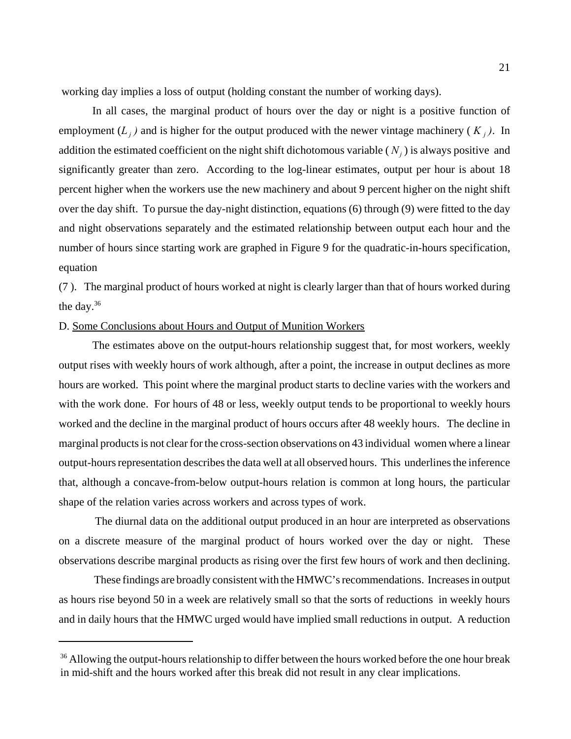working day implies a loss of output (holding constant the number of working days).

In all cases, the marginal product of hours over the day or night is a positive function of employment  $(L_j)$  and is higher for the output produced with the newer vintage machinery  $(K_j)$ . In addition the estimated coefficient on the night shift dichotomous variable  $(N_i)$  is always positive and significantly greater than zero. According to the log-linear estimates, output per hour is about 18 percent higher when the workers use the new machinery and about 9 percent higher on the night shift over the day shift. To pursue the day-night distinction, equations (6) through (9) were fitted to the day and night observations separately and the estimated relationship between output each hour and the number of hours since starting work are graphed in Figure 9 for the quadratic-in-hours specification, equation

(7 ). The marginal product of hours worked at night is clearly larger than that of hours worked during the day.36

#### D. Some Conclusions about Hours and Output of Munition Workers

The estimates above on the output-hours relationship suggest that, for most workers, weekly output rises with weekly hours of work although, after a point, the increase in output declines as more hours are worked. This point where the marginal product starts to decline varies with the workers and with the work done. For hours of 48 or less, weekly output tends to be proportional to weekly hours worked and the decline in the marginal product of hours occurs after 48 weekly hours. The decline in marginal products is not clear for the cross-section observations on 43 individual women where a linear output-hours representation describes the data well at all observed hours. This underlines the inference that, although a concave-from-below output-hours relation is common at long hours, the particular shape of the relation varies across workers and across types of work.

 The diurnal data on the additional output produced in an hour are interpreted as observations on a discrete measure of the marginal product of hours worked over the day or night. These observations describe marginal products as rising over the first few hours of work and then declining.

 These findings are broadly consistent with the HMWC's recommendations. Increases in output as hours rise beyond 50 in a week are relatively small so that the sorts of reductions in weekly hours and in daily hours that the HMWC urged would have implied small reductions in output. A reduction

<sup>&</sup>lt;sup>36</sup> Allowing the output-hours relationship to differ between the hours worked before the one hour break in mid-shift and the hours worked after this break did not result in any clear implications.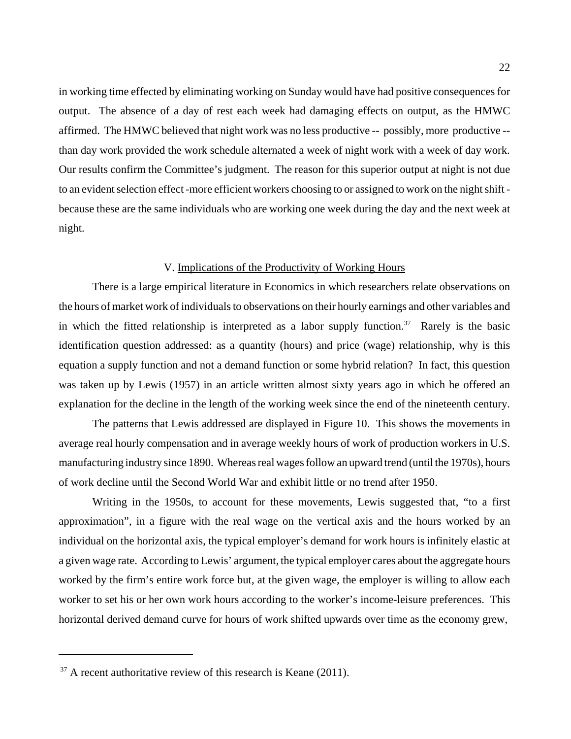in working time effected by eliminating working on Sunday would have had positive consequences for output. The absence of a day of rest each week had damaging effects on output, as the HMWC affirmed. The HMWC believed that night work was no less productive -- possibly, more productive - than day work provided the work schedule alternated a week of night work with a week of day work. Our results confirm the Committee's judgment. The reason for this superior output at night is not due to an evident selection effect -more efficient workers choosing to or assigned to work on the night shift because these are the same individuals who are working one week during the day and the next week at night.

#### V. Implications of the Productivity of Working Hours

There is a large empirical literature in Economics in which researchers relate observations on the hours of market work of individuals to observations on their hourly earnings and other variables and in which the fitted relationship is interpreted as a labor supply function.<sup>37</sup> Rarely is the basic identification question addressed: as a quantity (hours) and price (wage) relationship, why is this equation a supply function and not a demand function or some hybrid relation? In fact, this question was taken up by Lewis (1957) in an article written almost sixty years ago in which he offered an explanation for the decline in the length of the working week since the end of the nineteenth century.

The patterns that Lewis addressed are displayed in Figure 10. This shows the movements in average real hourly compensation and in average weekly hours of work of production workers in U.S. manufacturing industry since 1890. Whereas real wages follow an upward trend (until the 1970s), hours of work decline until the Second World War and exhibit little or no trend after 1950.

Writing in the 1950s, to account for these movements, Lewis suggested that, "to a first approximation", in a figure with the real wage on the vertical axis and the hours worked by an individual on the horizontal axis, the typical employer's demand for work hours is infinitely elastic at a given wage rate. According to Lewis' argument, the typical employer cares about the aggregate hours worked by the firm's entire work force but, at the given wage, the employer is willing to allow each worker to set his or her own work hours according to the worker's income-leisure preferences. This horizontal derived demand curve for hours of work shifted upwards over time as the economy grew,

 $37$  A recent authoritative review of this research is Keane (2011).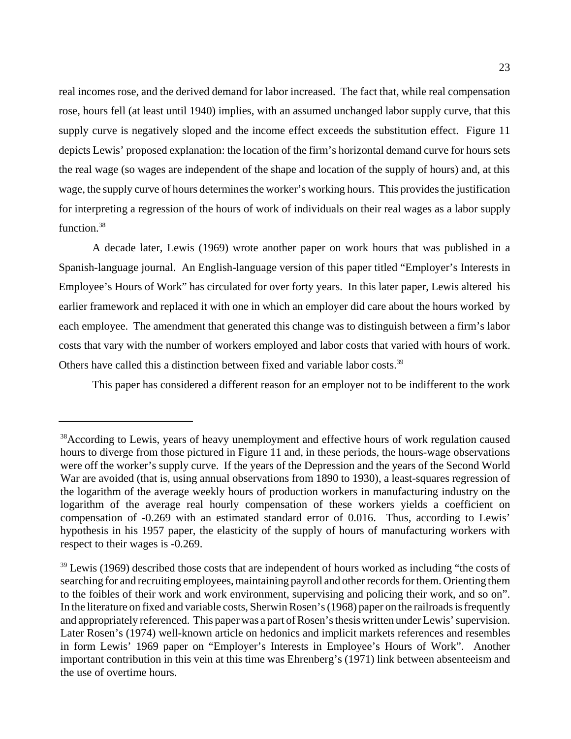real incomes rose, and the derived demand for labor increased. The fact that, while real compensation rose, hours fell (at least until 1940) implies, with an assumed unchanged labor supply curve, that this supply curve is negatively sloped and the income effect exceeds the substitution effect. Figure 11 depicts Lewis' proposed explanation: the location of the firm's horizontal demand curve for hours sets the real wage (so wages are independent of the shape and location of the supply of hours) and, at this wage, the supply curve of hours determines the worker's working hours. This provides the justification for interpreting a regression of the hours of work of individuals on their real wages as a labor supply function.<sup>38</sup>

A decade later, Lewis (1969) wrote another paper on work hours that was published in a Spanish-language journal. An English-language version of this paper titled "Employer's Interests in Employee's Hours of Work" has circulated for over forty years. In this later paper, Lewis altered his earlier framework and replaced it with one in which an employer did care about the hours worked by each employee. The amendment that generated this change was to distinguish between a firm's labor costs that vary with the number of workers employed and labor costs that varied with hours of work. Others have called this a distinction between fixed and variable labor costs.<sup>39</sup>

This paper has considered a different reason for an employer not to be indifferent to the work

<sup>&</sup>lt;sup>38</sup>According to Lewis, years of heavy unemployment and effective hours of work regulation caused hours to diverge from those pictured in Figure 11 and, in these periods, the hours-wage observations were off the worker's supply curve. If the years of the Depression and the years of the Second World War are avoided (that is, using annual observations from 1890 to 1930), a least-squares regression of the logarithm of the average weekly hours of production workers in manufacturing industry on the logarithm of the average real hourly compensation of these workers yields a coefficient on compensation of -0.269 with an estimated standard error of 0.016. Thus, according to Lewis' hypothesis in his 1957 paper, the elasticity of the supply of hours of manufacturing workers with respect to their wages is -0.269.

 $39$  Lewis (1969) described those costs that are independent of hours worked as including "the costs of searching for and recruiting employees, maintaining payroll and other records for them. Orienting them to the foibles of their work and work environment, supervising and policing their work, and so on". In the literature on fixed and variable costs, Sherwin Rosen's (1968) paper on the railroads is frequently and appropriately referenced. This paper was a part of Rosen's thesis written under Lewis' supervision. Later Rosen's (1974) well-known article on hedonics and implicit markets references and resembles in form Lewis' 1969 paper on "Employer's Interests in Employee's Hours of Work". Another important contribution in this vein at this time was Ehrenberg's (1971) link between absenteeism and the use of overtime hours.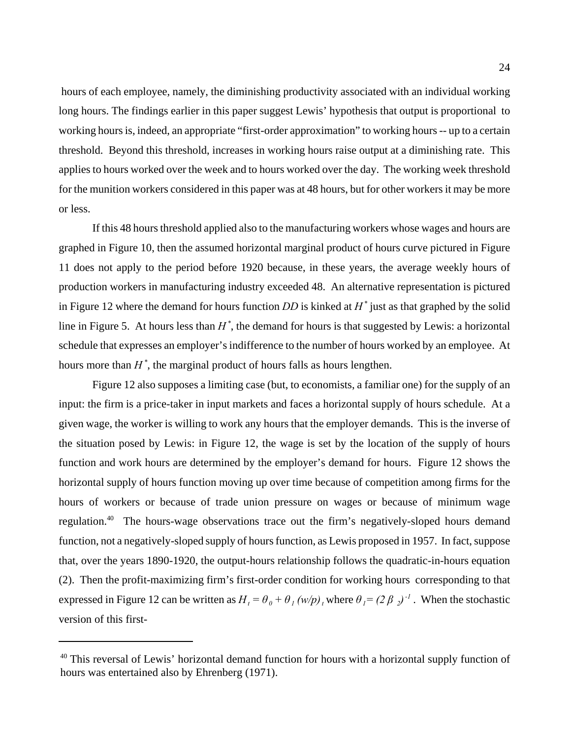hours of each employee, namely, the diminishing productivity associated with an individual working long hours. The findings earlier in this paper suggest Lewis' hypothesis that output is proportional to working hours is, indeed, an appropriate "first-order approximation" to working hours -- up to a certain threshold. Beyond this threshold, increases in working hours raise output at a diminishing rate. This applies to hours worked over the week and to hours worked over the day. The working week threshold for the munition workers considered in this paper was at 48 hours, but for other workers it may be more or less.

If this 48 hours threshold applied also to the manufacturing workers whose wages and hours are graphed in Figure 10, then the assumed horizontal marginal product of hours curve pictured in Figure 11 does not apply to the period before 1920 because, in these years, the average weekly hours of production workers in manufacturing industry exceeded 48. An alternative representation is pictured in Figure 12 where the demand for hours function *DD* is kinked at *H \** just as that graphed by the solid line in Figure 5. At hours less than  $H^*$ , the demand for hours is that suggested by Lewis: a horizontal schedule that expresses an employer's indifference to the number of hours worked by an employee. At hours more than  $H^*$ , the marginal product of hours falls as hours lengthen.

Figure 12 also supposes a limiting case (but, to economists, a familiar one) for the supply of an input: the firm is a price-taker in input markets and faces a horizontal supply of hours schedule. At a given wage, the worker is willing to work any hours that the employer demands. This is the inverse of the situation posed by Lewis: in Figure 12, the wage is set by the location of the supply of hours function and work hours are determined by the employer's demand for hours. Figure 12 shows the horizontal supply of hours function moving up over time because of competition among firms for the hours of workers or because of trade union pressure on wages or because of minimum wage regulation.<sup>40</sup> The hours-wage observations trace out the firm's negatively-sloped hours demand function, not a negatively-sloped supply of hours function, as Lewis proposed in 1957. In fact, suppose that, over the years 1890-1920, the output-hours relationship follows the quadratic-in-hours equation (2). Then the profit-maximizing firm's first-order condition for working hours corresponding to that expressed in Figure 12 can be written as  $H_t = \theta_0 + \theta_1 (w/p)_t$ , where  $\theta_1 = (2 \beta_0)^{-1}$ . When the stochastic version of this first-

<sup>&</sup>lt;sup>40</sup> This reversal of Lewis' horizontal demand function for hours with a horizontal supply function of hours was entertained also by Ehrenberg (1971).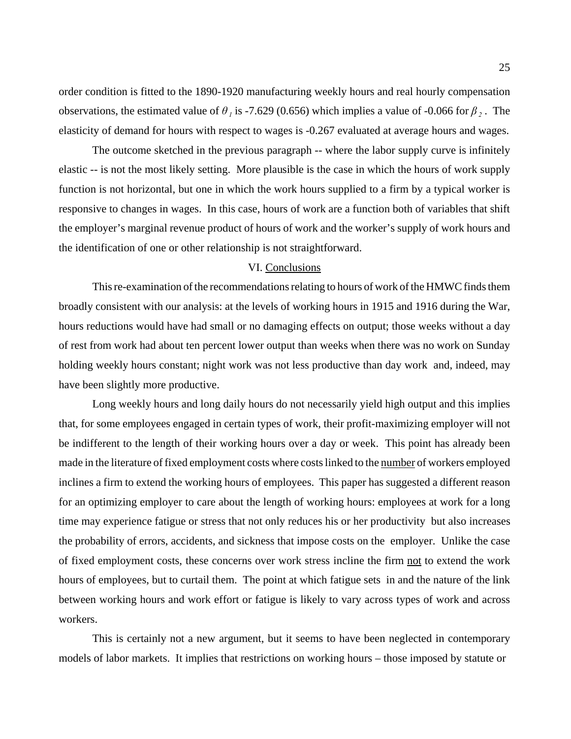order condition is fitted to the 1890-1920 manufacturing weekly hours and real hourly compensation observations, the estimated value of  $\theta$ <sub>*i*</sub> is -7.629 (0.656) which implies a value of -0.066 for  $\beta$ <sub>2</sub>. The elasticity of demand for hours with respect to wages is -0.267 evaluated at average hours and wages.

 The outcome sketched in the previous paragraph -- where the labor supply curve is infinitely elastic -- is not the most likely setting. More plausible is the case in which the hours of work supply function is not horizontal, but one in which the work hours supplied to a firm by a typical worker is responsive to changes in wages. In this case, hours of work are a function both of variables that shift the employer's marginal revenue product of hours of work and the worker's supply of work hours and the identification of one or other relationship is not straightforward.

#### VI. Conclusions

This re-examination of the recommendations relating to hours of work of the HMWC finds them broadly consistent with our analysis: at the levels of working hours in 1915 and 1916 during the War, hours reductions would have had small or no damaging effects on output; those weeks without a day of rest from work had about ten percent lower output than weeks when there was no work on Sunday holding weekly hours constant; night work was not less productive than day work and, indeed, may have been slightly more productive.

Long weekly hours and long daily hours do not necessarily yield high output and this implies that, for some employees engaged in certain types of work, their profit-maximizing employer will not be indifferent to the length of their working hours over a day or week. This point has already been made in the literature of fixed employment costs where costs linked to the number of workers employed inclines a firm to extend the working hours of employees. This paper has suggested a different reason for an optimizing employer to care about the length of working hours: employees at work for a long time may experience fatigue or stress that not only reduces his or her productivity but also increases the probability of errors, accidents, and sickness that impose costs on the employer. Unlike the case of fixed employment costs, these concerns over work stress incline the firm not to extend the work hours of employees, but to curtail them. The point at which fatigue sets in and the nature of the link between working hours and work effort or fatigue is likely to vary across types of work and across workers.

This is certainly not a new argument, but it seems to have been neglected in contemporary models of labor markets. It implies that restrictions on working hours – those imposed by statute or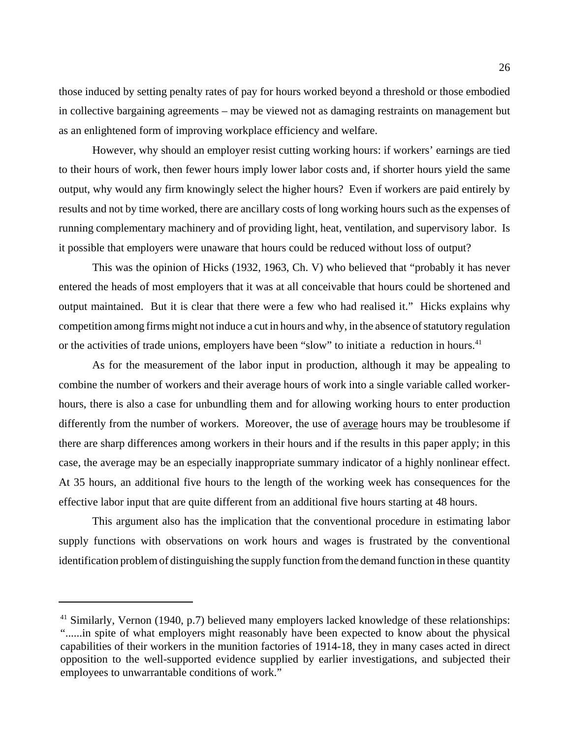those induced by setting penalty rates of pay for hours worked beyond a threshold or those embodied in collective bargaining agreements – may be viewed not as damaging restraints on management but as an enlightened form of improving workplace efficiency and welfare.

However, why should an employer resist cutting working hours: if workers' earnings are tied to their hours of work, then fewer hours imply lower labor costs and, if shorter hours yield the same output, why would any firm knowingly select the higher hours? Even if workers are paid entirely by results and not by time worked, there are ancillary costs of long working hours such as the expenses of running complementary machinery and of providing light, heat, ventilation, and supervisory labor. Is it possible that employers were unaware that hours could be reduced without loss of output?

This was the opinion of Hicks (1932, 1963, Ch. V) who believed that "probably it has never entered the heads of most employers that it was at all conceivable that hours could be shortened and output maintained. But it is clear that there were a few who had realised it." Hicks explains why competition among firms might not induce a cut in hours and why, in the absence of statutory regulation or the activities of trade unions, employers have been "slow" to initiate a reduction in hours.<sup>41</sup>

As for the measurement of the labor input in production, although it may be appealing to combine the number of workers and their average hours of work into a single variable called workerhours, there is also a case for unbundling them and for allowing working hours to enter production differently from the number of workers. Moreover, the use of <u>average</u> hours may be troublesome if there are sharp differences among workers in their hours and if the results in this paper apply; in this case, the average may be an especially inappropriate summary indicator of a highly nonlinear effect. At 35 hours, an additional five hours to the length of the working week has consequences for the effective labor input that are quite different from an additional five hours starting at 48 hours.

This argument also has the implication that the conventional procedure in estimating labor supply functions with observations on work hours and wages is frustrated by the conventional identification problem of distinguishing the supply function from the demand function in these quantity

 $41$  Similarly, Vernon (1940, p.7) believed many employers lacked knowledge of these relationships: "......in spite of what employers might reasonably have been expected to know about the physical capabilities of their workers in the munition factories of 1914-18, they in many cases acted in direct opposition to the well-supported evidence supplied by earlier investigations, and subjected their employees to unwarrantable conditions of work."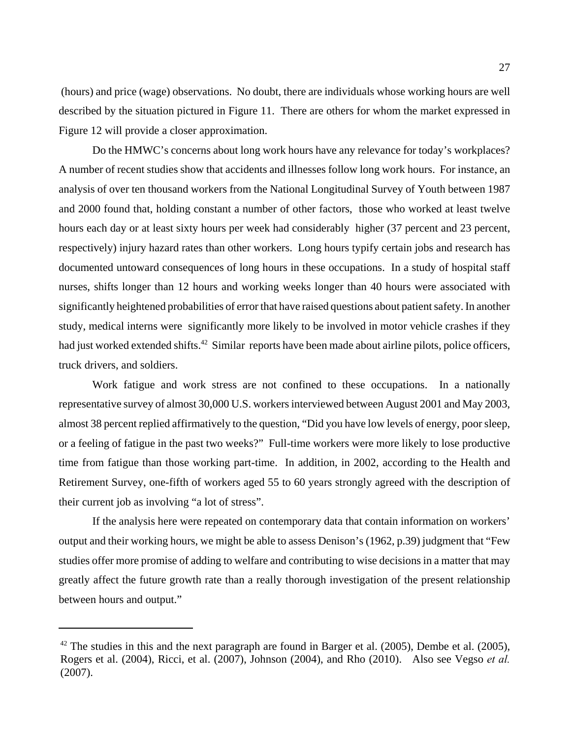(hours) and price (wage) observations. No doubt, there are individuals whose working hours are well described by the situation pictured in Figure 11. There are others for whom the market expressed in Figure 12 will provide a closer approximation.

Do the HMWC's concerns about long work hours have any relevance for today's workplaces? A number of recent studies show that accidents and illnesses follow long work hours. For instance, an analysis of over ten thousand workers from the National Longitudinal Survey of Youth between 1987 and 2000 found that, holding constant a number of other factors, those who worked at least twelve hours each day or at least sixty hours per week had considerably higher (37 percent and 23 percent, respectively) injury hazard rates than other workers. Long hours typify certain jobs and research has documented untoward consequences of long hours in these occupations. In a study of hospital staff nurses, shifts longer than 12 hours and working weeks longer than 40 hours were associated with significantly heightened probabilities of error that have raised questions about patient safety. In another study, medical interns were significantly more likely to be involved in motor vehicle crashes if they had just worked extended shifts.<sup>42</sup> Similar reports have been made about airline pilots, police officers, truck drivers, and soldiers.

Work fatigue and work stress are not confined to these occupations. In a nationally representative survey of almost 30,000 U.S. workers interviewed between August 2001 and May 2003, almost 38 percent replied affirmatively to the question, "Did you have low levels of energy, poor sleep, or a feeling of fatigue in the past two weeks?" Full-time workers were more likely to lose productive time from fatigue than those working part-time. In addition, in 2002, according to the Health and Retirement Survey, one-fifth of workers aged 55 to 60 years strongly agreed with the description of their current job as involving "a lot of stress".

If the analysis here were repeated on contemporary data that contain information on workers' output and their working hours, we might be able to assess Denison's (1962, p.39) judgment that "Few studies offer more promise of adding to welfare and contributing to wise decisions in a matter that may greatly affect the future growth rate than a really thorough investigation of the present relationship between hours and output."

 $42$  The studies in this and the next paragraph are found in Barger et al. (2005), Dembe et al. (2005), Rogers et al. (2004), Ricci, et al. (2007), Johnson (2004), and Rho (2010). Also see Vegso *et al.* (2007).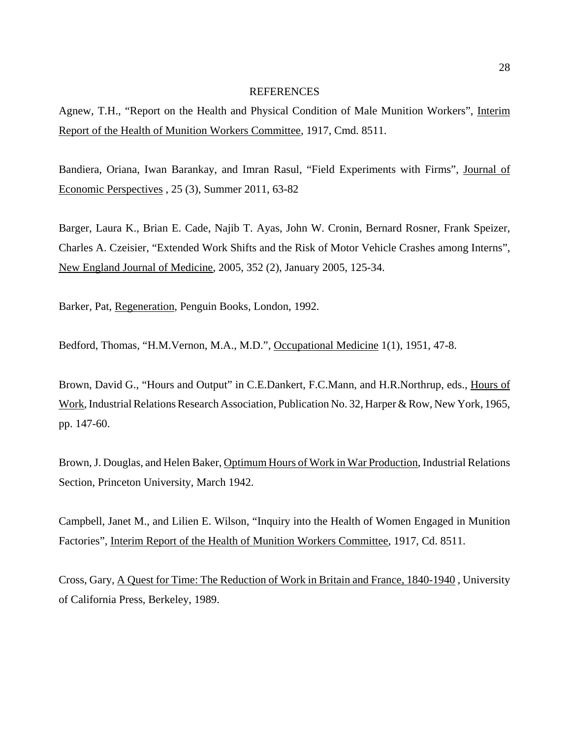#### REFERENCES

Agnew, T.H., "Report on the Health and Physical Condition of Male Munition Workers", Interim Report of the Health of Munition Workers Committee, 1917, Cmd. 8511.

Bandiera, Oriana, Iwan Barankay, and Imran Rasul, "Field Experiments with Firms", Journal of Economic Perspectives , 25 (3), Summer 2011, 63-82

Barger, Laura K., Brian E. Cade, Najib T. Ayas, John W. Cronin, Bernard Rosner, Frank Speizer, Charles A. Czeisier, "Extended Work Shifts and the Risk of Motor Vehicle Crashes among Interns", New England Journal of Medicine, 2005, 352 (2), January 2005, 125-34.

Barker, Pat, Regeneration, Penguin Books, London, 1992.

Bedford, Thomas, "H.M.Vernon, M.A., M.D.", Occupational Medicine 1(1), 1951, 47-8.

Brown, David G., "Hours and Output" in C.E.Dankert, F.C.Mann, and H.R.Northrup, eds., Hours of Work, Industrial Relations Research Association, Publication No. 32, Harper & Row, New York, 1965, pp. 147-60.

Brown, J. Douglas, and Helen Baker, Optimum Hours of Work in War Production, Industrial Relations Section, Princeton University, March 1942.

Campbell, Janet M., and Lilien E. Wilson, "Inquiry into the Health of Women Engaged in Munition Factories", Interim Report of the Health of Munition Workers Committee, 1917, Cd. 8511.

Cross, Gary, A Quest for Time: The Reduction of Work in Britain and France, 1840-1940 , University of California Press, Berkeley, 1989.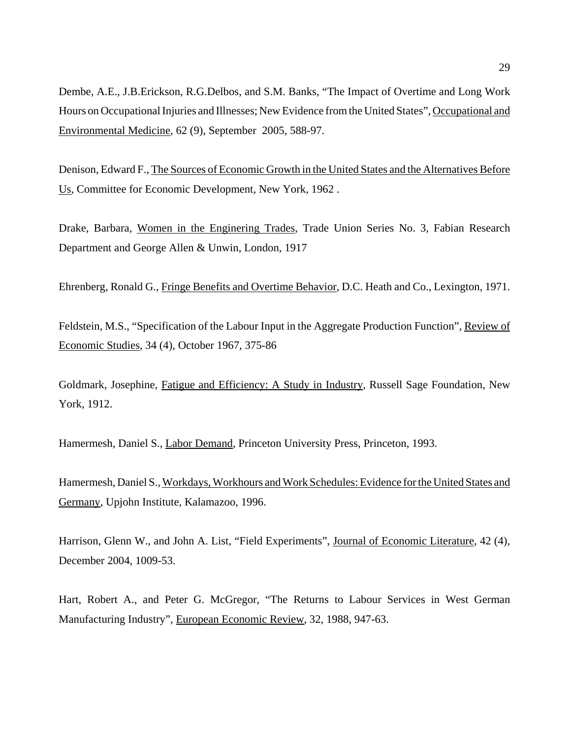Dembe, A.E., J.B.Erickson, R.G.Delbos, and S.M. Banks, "The Impact of Overtime and Long Work Hours on Occupational Injuries and Illnesses; New Evidence from the United States", Occupational and Environmental Medicine, 62 (9), September 2005, 588-97.

Denison, Edward F., The Sources of Economic Growth in the United States and the Alternatives Before Us, Committee for Economic Development, New York, 1962 .

Drake, Barbara, Women in the Enginering Trades, Trade Union Series No. 3, Fabian Research Department and George Allen & Unwin, London, 1917

Ehrenberg, Ronald G., Fringe Benefits and Overtime Behavior, D.C. Heath and Co., Lexington, 1971.

Feldstein, M.S., "Specification of the Labour Input in the Aggregate Production Function", Review of Economic Studies, 34 (4), October 1967, 375-86

Goldmark, Josephine, Fatigue and Efficiency: A Study in Industry, Russell Sage Foundation, New York, 1912.

Hamermesh, Daniel S., *Labor Demand*, Princeton University Press, Princeton, 1993.

Hamermesh, Daniel S., Workdays, Workhours and Work Schedules: Evidence for the United States and Germany, Upjohn Institute, Kalamazoo, 1996.

Harrison, Glenn W., and John A. List, "Field Experiments", Journal of Economic Literature, 42 (4), December 2004, 1009-53.

Hart, Robert A., and Peter G. McGregor, "The Returns to Labour Services in West German Manufacturing Industry", European Economic Review, 32, 1988, 947-63.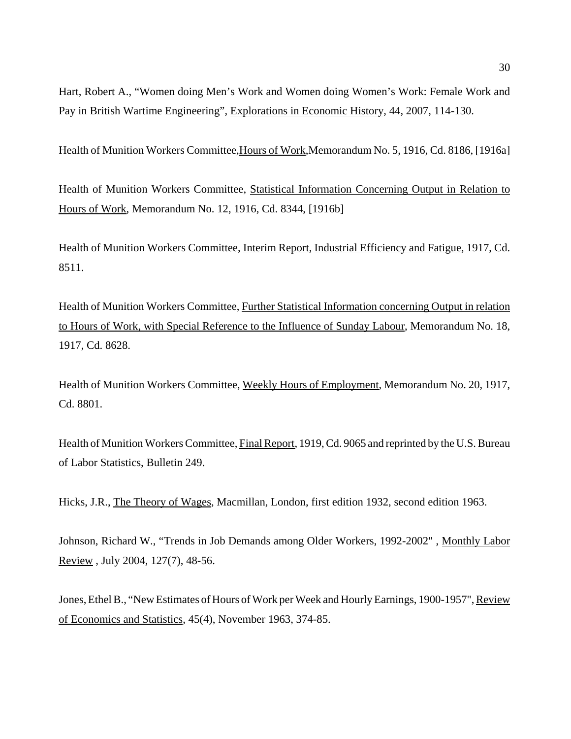Hart, Robert A., "Women doing Men's Work and Women doing Women's Work: Female Work and Pay in British Wartime Engineering", Explorations in Economic History, 44, 2007, 114-130.

Health of Munition Workers Committee,Hours of Work,Memorandum No. 5, 1916, Cd. 8186, [1916a]

Health of Munition Workers Committee, Statistical Information Concerning Output in Relation to Hours of Work, Memorandum No. 12, 1916, Cd. 8344, [1916b]

Health of Munition Workers Committee, Interim Report, Industrial Efficiency and Fatigue, 1917, Cd. 8511.

Health of Munition Workers Committee, Further Statistical Information concerning Output in relation to Hours of Work, with Special Reference to the Influence of Sunday Labour, Memorandum No. 18, 1917, Cd. 8628.

Health of Munition Workers Committee, Weekly Hours of Employment, Memorandum No. 20, 1917, Cd. 8801.

Health of Munition Workers Committee, Final Report, 1919, Cd. 9065 and reprinted by the U.S. Bureau of Labor Statistics, Bulletin 249.

Hicks, J.R., The Theory of Wages, Macmillan, London, first edition 1932, second edition 1963.

Johnson, Richard W., "Trends in Job Demands among Older Workers, 1992-2002" , Monthly Labor Review , July 2004, 127(7), 48-56.

Jones, Ethel B., "New Estimates of Hours of Work per Week and Hourly Earnings, 1900-1957", Review of Economics and Statistics, 45(4), November 1963, 374-85.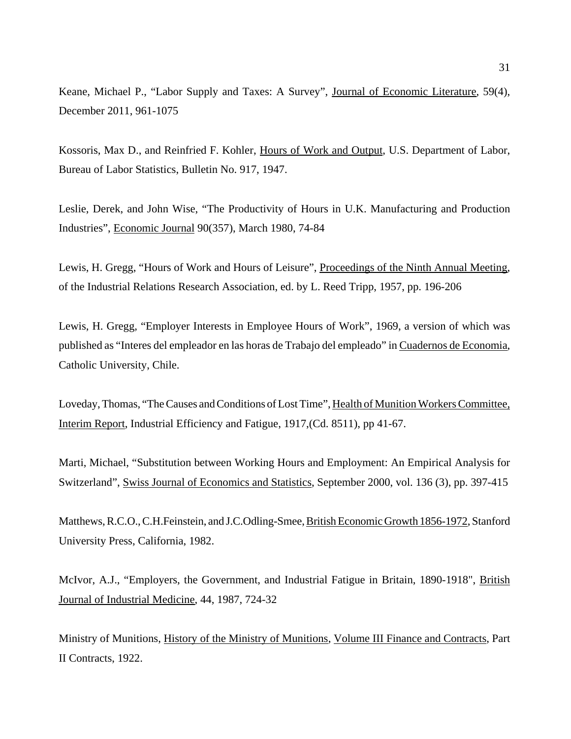Keane, Michael P., "Labor Supply and Taxes: A Survey", Journal of Economic Literature, 59(4), December 2011, 961-1075

Kossoris, Max D., and Reinfried F. Kohler, Hours of Work and Output, U.S. Department of Labor, Bureau of Labor Statistics, Bulletin No. 917, 1947.

Leslie, Derek, and John Wise, "The Productivity of Hours in U.K. Manufacturing and Production Industries", Economic Journal 90(357), March 1980, 74-84

Lewis, H. Gregg, "Hours of Work and Hours of Leisure", Proceedings of the Ninth Annual Meeting, of the Industrial Relations Research Association, ed. by L. Reed Tripp, 1957, pp. 196-206

Lewis, H. Gregg, "Employer Interests in Employee Hours of Work", 1969, a version of which was published as "Interes del empleador en las horas de Trabajo del empleado" in Cuadernos de Economia, Catholic University, Chile.

Loveday, Thomas, "The Causes and Conditions of Lost Time", Health of Munition Workers Committee, Interim Report, Industrial Efficiency and Fatigue, 1917,(Cd. 8511), pp 41-67.

Marti, Michael, "Substitution between Working Hours and Employment: An Empirical Analysis for Switzerland", Swiss Journal of Economics and Statistics, September 2000, vol. 136 (3), pp. 397-415

Matthews, R.C.O., C.H.Feinstein, and J.C.Odling-Smee, British Economic Growth 1856-1972, Stanford University Press, California, 1982.

McIvor, A.J., "Employers, the Government, and Industrial Fatigue in Britain, 1890-1918", British Journal of Industrial Medicine, 44, 1987, 724-32

Ministry of Munitions, History of the Ministry of Munitions, Volume III Finance and Contracts, Part II Contracts, 1922.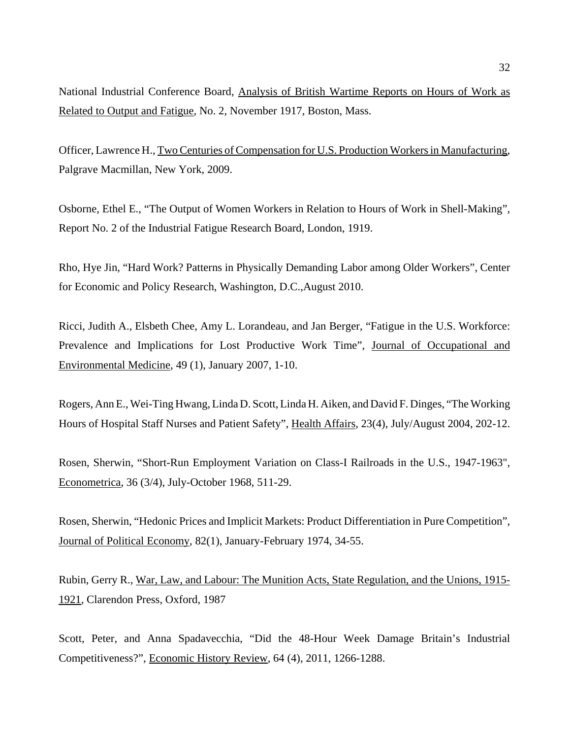National Industrial Conference Board, Analysis of British Wartime Reports on Hours of Work as Related to Output and Fatigue, No. 2, November 1917, Boston, Mass.

Officer, Lawrence H., Two Centuries of Compensation for U.S. Production Workers in Manufacturing, Palgrave Macmillan, New York, 2009.

Osborne, Ethel E., "The Output of Women Workers in Relation to Hours of Work in Shell-Making", Report No. 2 of the Industrial Fatigue Research Board, London, 1919.

Rho, Hye Jin, "Hard Work? Patterns in Physically Demanding Labor among Older Workers", Center for Economic and Policy Research, Washington, D.C.,August 2010.

Ricci, Judith A., Elsbeth Chee, Amy L. Lorandeau, and Jan Berger, "Fatigue in the U.S. Workforce: Prevalence and Implications for Lost Productive Work Time", Journal of Occupational and Environmental Medicine, 49 (1), January 2007, 1-10.

Rogers, Ann E., Wei-Ting Hwang, Linda D. Scott, Linda H. Aiken, and David F. Dinges, "The Working Hours of Hospital Staff Nurses and Patient Safety", Health Affairs, 23(4), July/August 2004, 202-12.

Rosen, Sherwin, "Short-Run Employment Variation on Class-I Railroads in the U.S., 1947-1963", Econometrica, 36 (3/4), July-October 1968, 511-29.

Rosen, Sherwin, "Hedonic Prices and Implicit Markets: Product Differentiation in Pure Competition", Journal of Political Economy, 82(1), January-February 1974, 34-55.

Rubin, Gerry R., War, Law, and Labour: The Munition Acts, State Regulation, and the Unions, 1915- 1921, Clarendon Press, Oxford, 1987

Scott, Peter, and Anna Spadavecchia, "Did the 48-Hour Week Damage Britain's Industrial Competitiveness?", Economic History Review, 64 (4), 2011, 1266-1288.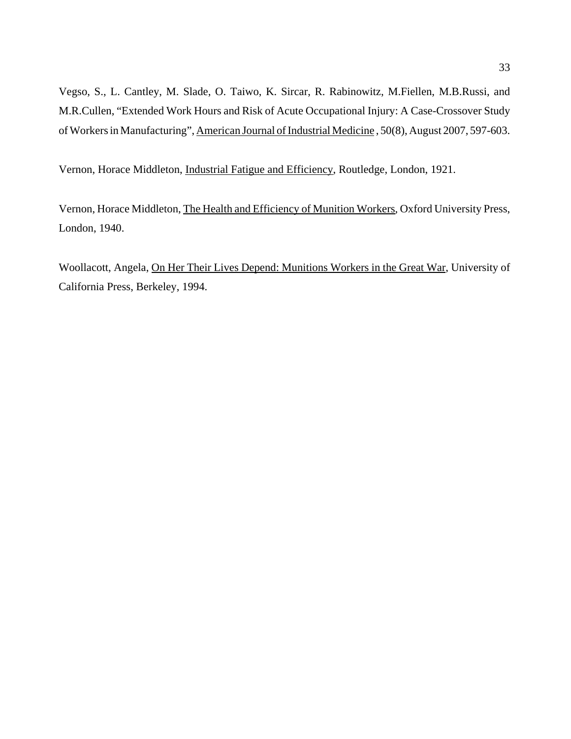Vegso, S., L. Cantley, M. Slade, O. Taiwo, K. Sircar, R. Rabinowitz, M.Fiellen, M.B.Russi, and M.R.Cullen, "Extended Work Hours and Risk of Acute Occupational Injury: A Case-Crossover Study of Workers in Manufacturing", American Journal of Industrial Medicine , 50(8), August 2007, 597-603.

Vernon, Horace Middleton, Industrial Fatigue and Efficiency, Routledge, London, 1921.

Vernon, Horace Middleton, The Health and Efficiency of Munition Workers, Oxford University Press, London, 1940.

Woollacott, Angela, On Her Their Lives Depend: Munitions Workers in the Great War, University of California Press, Berkeley, 1994.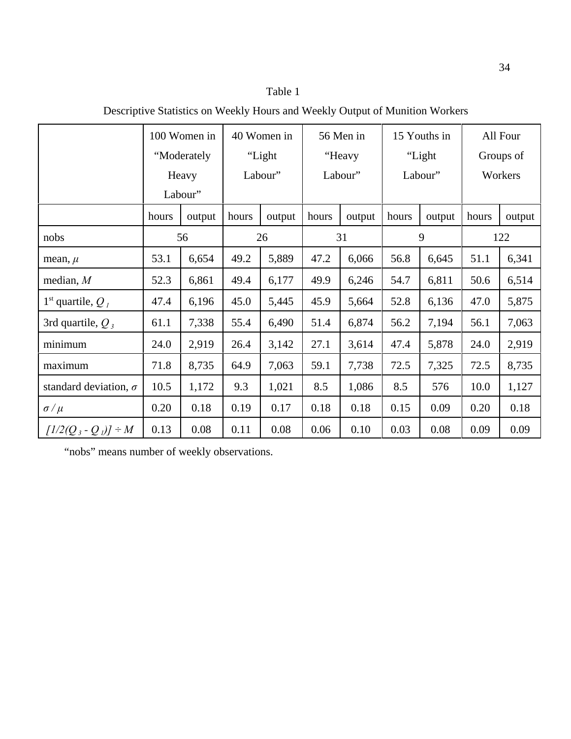Descriptive Statistics on Weekly Hours and Weekly Output of Munition Workers

|                              | 100 Women in |             | 40 Women in |        | 56 Men in |        | 15 Youths in |        | All Four |           |  |
|------------------------------|--------------|-------------|-------------|--------|-----------|--------|--------------|--------|----------|-----------|--|
|                              |              | "Moderately |             | "Light |           | "Heavy |              | "Light |          | Groups of |  |
|                              |              | Heavy       | Labour"     |        | Labour"   |        | Labour"      |        | Workers  |           |  |
|                              |              | Labour"     |             |        |           |        |              |        |          |           |  |
|                              | hours        | output      | hours       | output | hours     | output | hours        | output | hours    | output    |  |
| nobs                         |              | 56          |             | 26     | 31        |        | 9            |        | 122      |           |  |
| mean, $\mu$                  | 53.1         | 6,654       | 49.2        | 5,889  | 47.2      | 6,066  | 56.8         | 6,645  | 51.1     | 6,341     |  |
| median, $M$                  | 52.3         | 6,861       | 49.4        | 6,177  | 49.9      | 6,246  | 54.7         | 6,811  | 50.6     | 6,514     |  |
| $1st$ quartile, $Q_1$        | 47.4         | 6,196       | 45.0        | 5,445  | 45.9      | 5,664  | 52.8         | 6,136  | 47.0     | 5,875     |  |
| 3rd quartile, $Q_3$          | 61.1         | 7,338       | 55.4        | 6,490  | 51.4      | 6,874  | 56.2         | 7,194  | 56.1     | 7,063     |  |
| minimum                      | 24.0         | 2,919       | 26.4        | 3,142  | 27.1      | 3,614  | 47.4         | 5,878  | 24.0     | 2,919     |  |
| maximum                      | 71.8         | 8,735       | 64.9        | 7,063  | 59.1      | 7,738  | 72.5         | 7,325  | 72.5     | 8,735     |  |
| standard deviation, $\sigma$ | 10.5         | 1,172       | 9.3         | 1,021  | 8.5       | 1,086  | 8.5          | 576    | 10.0     | 1,127     |  |
| $\sigma/\mu$                 | 0.20         | 0.18        | 0.19        | 0.17   | 0.18      | 0.18   | 0.15         | 0.09   | 0.20     | 0.18      |  |
| $[1/2(Q_3 - Q_1)] \div M$    | 0.13         | 0.08        | 0.11        | 0.08   | 0.06      | 0.10   | 0.03         | 0.08   | 0.09     | 0.09      |  |

"nobs" means number of weekly observations.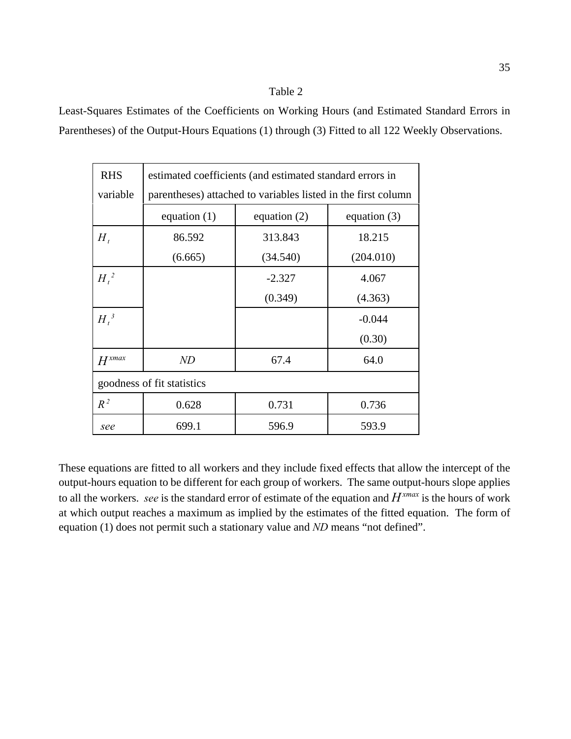Least-Squares Estimates of the Coefficients on Working Hours (and Estimated Standard Errors in Parentheses) of the Output-Hours Equations (1) through (3) Fitted to all 122 Weekly Observations.

| <b>RHS</b>                 | estimated coefficients (and estimated standard errors in      |                                  |           |  |  |  |  |
|----------------------------|---------------------------------------------------------------|----------------------------------|-----------|--|--|--|--|
| variable                   | parentheses) attached to variables listed in the first column |                                  |           |  |  |  |  |
|                            | equation $(1)$                                                | equation $(2)$<br>equation $(3)$ |           |  |  |  |  |
| $H_{t}$                    | 86.592                                                        | 313.843                          | 18.215    |  |  |  |  |
|                            | (6.665)                                                       | (34.540)                         | (204.010) |  |  |  |  |
| $H_t^2$                    |                                                               | $-2.327$                         | 4.067     |  |  |  |  |
|                            |                                                               | (0.349)<br>(4.363)               |           |  |  |  |  |
| $H_t^{\beta}$              |                                                               |                                  | $-0.044$  |  |  |  |  |
|                            |                                                               |                                  | (0.30)    |  |  |  |  |
| $H^{xmax}$                 | ND                                                            | 67.4                             | 64.0      |  |  |  |  |
| goodness of fit statistics |                                                               |                                  |           |  |  |  |  |
| $R^2$                      | 0.628                                                         | 0.731                            | 0.736     |  |  |  |  |
| see                        | 699.1                                                         | 596.9                            | 593.9     |  |  |  |  |

These equations are fitted to all workers and they include fixed effects that allow the intercept of the output-hours equation to be different for each group of workers. The same output-hours slope applies to all the workers. *see* is the standard error of estimate of the equation and  $H^{xmax}$  is the hours of work at which output reaches a maximum as implied by the estimates of the fitted equation. The form of equation (1) does not permit such a stationary value and *ND* means "not defined".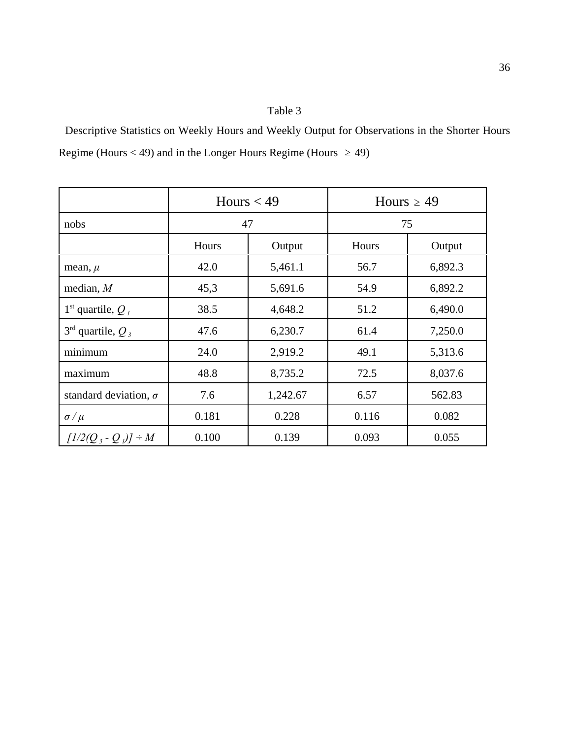Descriptive Statistics on Weekly Hours and Weekly Output for Observations in the Shorter Hours Regime (Hours < 49) and in the Longer Hours Regime (Hours  $\geq$  49)

|                                 |       | Hours $<$ 49 | Hours $\geq$ 49 |         |  |
|---------------------------------|-------|--------------|-----------------|---------|--|
| nobs                            |       | 47           | 75              |         |  |
|                                 | Hours | Output       | Hours           | Output  |  |
| mean, $\mu$                     | 42.0  | 5,461.1      | 56.7            | 6,892.3 |  |
| median, $M$                     | 45,3  | 5,691.6      | 54.9            | 6,892.2 |  |
| 1 <sup>st</sup> quartile, $Q_1$ | 38.5  | 4,648.2      | 51.2            | 6,490.0 |  |
| $3^{rd}$ quartile, $Q_3$        | 47.6  | 6,230.7      | 61.4            | 7,250.0 |  |
| minimum                         | 24.0  | 2,919.2      | 49.1            | 5,313.6 |  |
| maximum                         | 48.8  | 8,735.2      | 72.5            | 8,037.6 |  |
| standard deviation, $\sigma$    | 7.6   | 1,242.67     | 6.57            | 562.83  |  |
| $\sigma/\mu$                    | 0.181 | 0.228        | 0.116           | 0.082   |  |
| $[1/2(Q, -Q)] + M$              | 0.100 | 0.139        | 0.093           | 0.055   |  |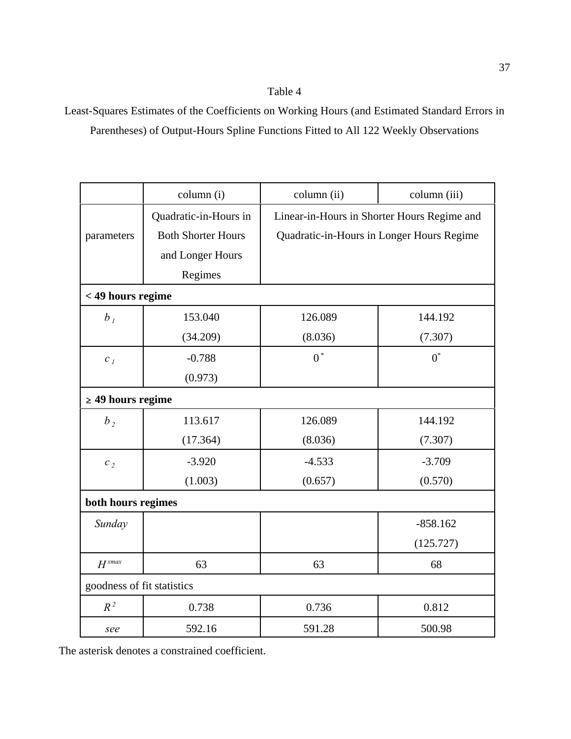Least-Squares Estimates of the Coefficients on Working Hours (and Estimated Standard Errors in Parentheses) of Output-Hours Spline Functions Fitted to All 122 Weekly Observations

|                        | column (i)                 | column (ii)                               | column (iii)                                |  |  |  |
|------------------------|----------------------------|-------------------------------------------|---------------------------------------------|--|--|--|
|                        | Quadratic-in-Hours in      |                                           | Linear-in-Hours in Shorter Hours Regime and |  |  |  |
| parameters             | <b>Both Shorter Hours</b>  | Quadratic-in-Hours in Longer Hours Regime |                                             |  |  |  |
|                        | and Longer Hours           |                                           |                                             |  |  |  |
|                        | Regimes                    |                                           |                                             |  |  |  |
| < 49 hours regime      |                            |                                           |                                             |  |  |  |
| b <sub>I</sub>         | 153.040                    | 126.089                                   | 144.192                                     |  |  |  |
|                        | (34.209)                   | (8.036)                                   | (7.307)                                     |  |  |  |
| c <sub>1</sub>         | $-0.788$                   | $0^*$                                     | $0^*$                                       |  |  |  |
|                        | (0.973)                    |                                           |                                             |  |  |  |
| $\geq$ 49 hours regime |                            |                                           |                                             |  |  |  |
| $b_{\rm\,2}$           | 113.617                    | 126.089                                   | 144.192                                     |  |  |  |
|                        | (17.364)                   | (8.036)                                   | (7.307)                                     |  |  |  |
| $c_2$                  | $-3.920$                   | $-4.533$                                  | $-3.709$                                    |  |  |  |
|                        | (1.003)                    | (0.657)                                   | (0.570)                                     |  |  |  |
| both hours regimes     |                            |                                           |                                             |  |  |  |
| Sunday                 |                            |                                           | $-858.162$                                  |  |  |  |
|                        |                            |                                           | (125.727)                                   |  |  |  |
| $H^{xmax}$             | 63                         | 63                                        | 68                                          |  |  |  |
|                        | goodness of fit statistics |                                           |                                             |  |  |  |
| $R^2$                  | 0.738                      | 0.736                                     | 0.812                                       |  |  |  |
| see                    | 592.16                     | 591.28                                    | 500.98                                      |  |  |  |

The asterisk denotes a constrained coefficient.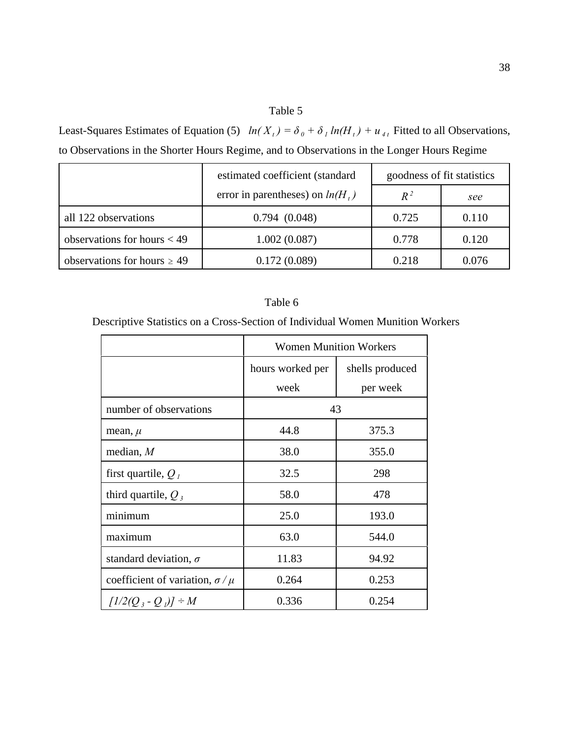Least-Squares Estimates of Equation (5)  $ln(X_t) = \delta_0 + \delta_1 ln(H_t) + u_{4t}$  Fitted to all Observations, to Observations in the Shorter Hours Regime, and to Observations in the Longer Hours Regime

|                                  | estimated coefficient (standard    | goodness of fit statistics |       |
|----------------------------------|------------------------------------|----------------------------|-------|
|                                  | error in parentheses) on $ln(H_t)$ | $R^2$                      | see   |
| all 122 observations             | 0.794(0.048)                       | 0.725                      | 0.110 |
| observations for hours $<$ 49    | 1.002(0.087)                       | 0.778                      | 0.120 |
| observations for hours $\geq 49$ | 0.172(0.089)                       | 0.218                      | 0.076 |

## Table 6

Descriptive Statistics on a Cross-Section of Individual Women Munition Workers

|                                        | <b>Women Munition Workers</b> |                 |
|----------------------------------------|-------------------------------|-----------------|
|                                        | hours worked per              | shells produced |
|                                        | week                          | per week        |
| number of observations                 | 43                            |                 |
| mean, $\mu$                            | 44.8                          | 375.3           |
| median, $M$                            | 38.0                          | 355.0           |
| first quartile, $Q_1$                  | 32.5                          | 298             |
| third quartile, $Q_3$                  | 58.0                          | 478             |
| minimum                                | 25.0                          | 193.0           |
| maximum                                | 63.0                          | 544.0           |
| standard deviation, $\sigma$           | 11.83                         | 94.92           |
| coefficient of variation, $\sigma/\mu$ | 0.264                         | 0.253           |
| $[1/2(Q_3 - Q_1)] + M$                 | 0.336                         | 0.254           |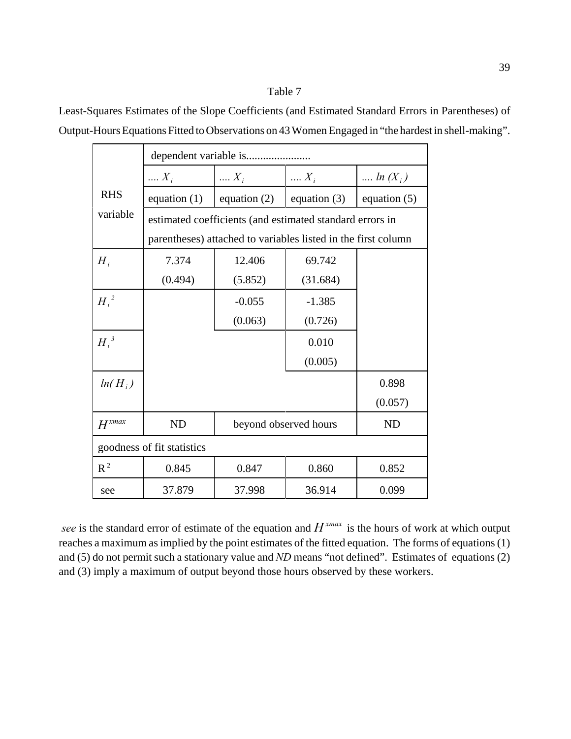Least-Squares Estimates of the Slope Coefficients (and Estimated Standard Errors in Parentheses) of Output-Hours Equations Fitted to Observations on 43 Women Engaged in "the hardest in shell-making".

|               | dependent variable is                                         |                                                          |                |                     |  |  |  |  |
|---------------|---------------------------------------------------------------|----------------------------------------------------------|----------------|---------------------|--|--|--|--|
|               | $\ldots X_i$                                                  | $\ldots X_i$                                             | $\ldots X_i$   | $\ldots$ ln $(X_i)$ |  |  |  |  |
| <b>RHS</b>    | equation $(1)$                                                | equation $(2)$                                           | equation $(3)$ | equation $(5)$      |  |  |  |  |
| variable      |                                                               | estimated coefficients (and estimated standard errors in |                |                     |  |  |  |  |
|               | parentheses) attached to variables listed in the first column |                                                          |                |                     |  |  |  |  |
| $H_i$         | 7.374                                                         | 12.406                                                   | 69.742         |                     |  |  |  |  |
|               | (0.494)                                                       | (5.852)                                                  | (31.684)       |                     |  |  |  |  |
| $H_i^2$       |                                                               | $-0.055$                                                 | $-1.385$       |                     |  |  |  |  |
|               |                                                               | (0.063)                                                  | (0.726)        |                     |  |  |  |  |
| $H_i^{\beta}$ |                                                               |                                                          | 0.010          |                     |  |  |  |  |
|               |                                                               |                                                          | (0.005)        |                     |  |  |  |  |
| $ln(H_i)$     |                                                               |                                                          |                | 0.898               |  |  |  |  |
|               |                                                               |                                                          |                | (0.057)             |  |  |  |  |
| $H^{xmax}$    | <b>ND</b>                                                     | beyond observed hours                                    |                | <b>ND</b>           |  |  |  |  |
|               | goodness of fit statistics                                    |                                                          |                |                     |  |  |  |  |
| $R^2$         | 0.845                                                         | 0.847                                                    | 0.860          | 0.852               |  |  |  |  |
| see           | 37.879                                                        | 37.998                                                   | 36.914         | 0.099               |  |  |  |  |

*see* is the standard error of estimate of the equation and *H xmax* is the hours of work at which output reaches a maximum as implied by the point estimates of the fitted equation. The forms of equations (1) and (5) do not permit such a stationary value and *ND* means "not defined". Estimates of equations (2) and (3) imply a maximum of output beyond those hours observed by these workers.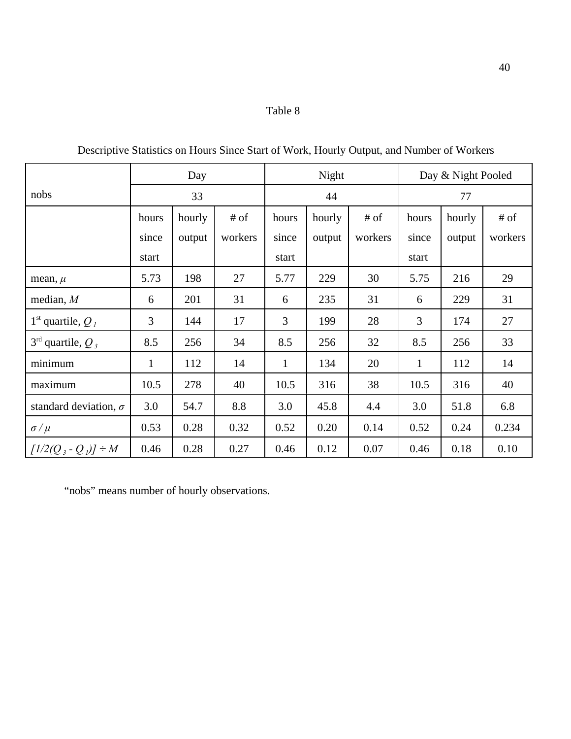|                                 | Day   |        |         | Night |        |         | Day & Night Pooled |        |         |
|---------------------------------|-------|--------|---------|-------|--------|---------|--------------------|--------|---------|
| nobs                            |       | 33     |         |       | 44     |         |                    | 77     |         |
|                                 | hours | hourly | # of    | hours | hourly | # of    | hours              | hourly | # of    |
|                                 | since | output | workers | since | output | workers | since              | output | workers |
|                                 | start |        |         | start |        |         | start              |        |         |
| mean, $\mu$                     | 5.73  | 198    | 27      | 5.77  | 229    | 30      | 5.75               | 216    | 29      |
| median, $M$                     | 6     | 201    | 31      | 6     | 235    | 31      | 6                  | 229    | 31      |
| 1 <sup>st</sup> quartile, $Q_1$ | 3     | 144    | 17      | 3     | 199    | 28      | 3                  | 174    | 27      |
| $3^{\text{rd}}$ quartile, $Q_3$ | 8.5   | 256    | 34      | 8.5   | 256    | 32      | 8.5                | 256    | 33      |
| minimum                         | 1     | 112    | 14      | 1     | 134    | 20      | $\mathbf{1}$       | 112    | 14      |
| maximum                         | 10.5  | 278    | 40      | 10.5  | 316    | 38      | 10.5               | 316    | 40      |
| standard deviation, $\sigma$    | 3.0   | 54.7   | 8.8     | 3.0   | 45.8   | 4.4     | 3.0                | 51.8   | 6.8     |
| $\sigma/\mu$                    | 0.53  | 0.28   | 0.32    | 0.52  | 0.20   | 0.14    | 0.52               | 0.24   | 0.234   |
| $[1/2(Q_3 - Q_1)] \div M$       | 0.46  | 0.28   | 0.27    | 0.46  | 0.12   | 0.07    | 0.46               | 0.18   | 0.10    |

Descriptive Statistics on Hours Since Start of Work, Hourly Output, and Number of Workers

"nobs" means number of hourly observations.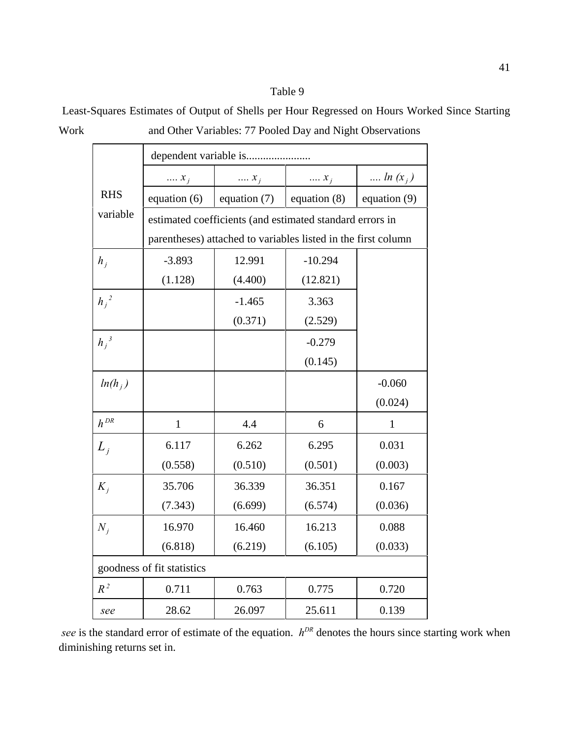Least-Squares Estimates of Output of Shells per Hour Regressed on Hours Worked Since Starting Work and Other Variables: 77 Pooled Day and Night Observations

|            | dependent variable is                                         |                |                                                          |                     |  |  |  |  |
|------------|---------------------------------------------------------------|----------------|----------------------------------------------------------|---------------------|--|--|--|--|
|            | $\ldots$ $x_j$                                                | $\ldots$ $x_j$ | $\ldots$ $x_j$                                           | $\ldots$ ln $(x_j)$ |  |  |  |  |
| <b>RHS</b> | equation (6)                                                  | equation $(7)$ | equation $(8)$                                           | equation (9)        |  |  |  |  |
| variable   |                                                               |                | estimated coefficients (and estimated standard errors in |                     |  |  |  |  |
|            | parentheses) attached to variables listed in the first column |                |                                                          |                     |  |  |  |  |
| $h_j$      | $-3.893$                                                      | 12.991         | $-10.294$                                                |                     |  |  |  |  |
|            | (1.128)                                                       | (4.400)        | (12.821)                                                 |                     |  |  |  |  |
| $h_i^2$    |                                                               | $-1.465$       | 3.363                                                    |                     |  |  |  |  |
|            |                                                               | (0.371)        | (2.529)                                                  |                     |  |  |  |  |
| $h_i^3$    |                                                               |                | $-0.279$                                                 |                     |  |  |  |  |
|            |                                                               |                | (0.145)                                                  |                     |  |  |  |  |
| $ln(h_i)$  |                                                               |                |                                                          | $-0.060$            |  |  |  |  |
|            |                                                               |                |                                                          | (0.024)             |  |  |  |  |
| $h^{DR}$   | $\mathbf{1}$                                                  | 4.4            | 6                                                        | $\mathbf{1}$        |  |  |  |  |
| $L_i$      | 6.117                                                         | 6.262          | 6.295                                                    | 0.031               |  |  |  |  |
|            | (0.558)                                                       | (0.510)        | (0.501)                                                  | (0.003)             |  |  |  |  |
| $K_i$      | 35.706                                                        | 36.339         | 36.351                                                   | 0.167               |  |  |  |  |
|            | (7.343)                                                       | (6.699)        | (6.574)                                                  | (0.036)             |  |  |  |  |
| $N_i$      | 16.970                                                        | 16.460         | 16.213                                                   | 0.088               |  |  |  |  |
|            | (6.818)                                                       | (6.219)        | (6.105)                                                  | (0.033)             |  |  |  |  |
|            | goodness of fit statistics                                    |                |                                                          |                     |  |  |  |  |
| $R^2$      | 0.711                                                         | 0.763          | 0.775                                                    | 0.720               |  |  |  |  |
| see        | 28.62                                                         | 26.097         | 25.611                                                   | 0.139               |  |  |  |  |

*see* is the standard error of estimate of the equation.  $h^{DR}$  denotes the hours since starting work when diminishing returns set in.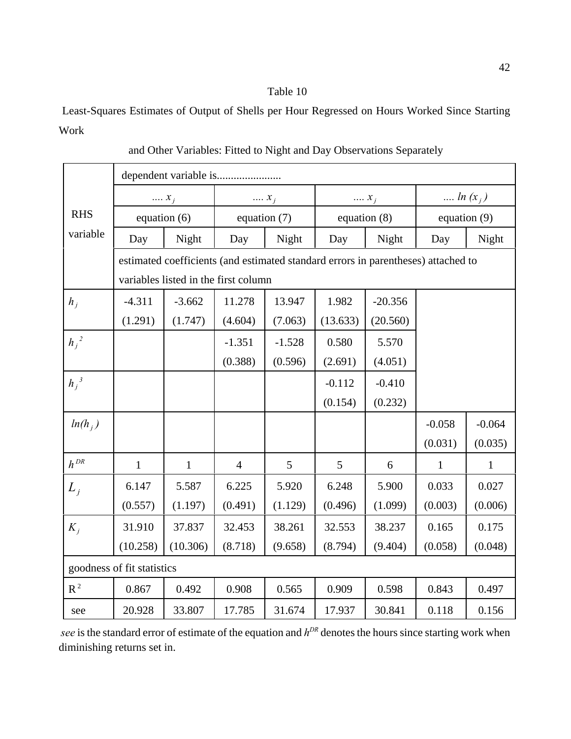Least-Squares Estimates of Output of Shells per Hour Regressed on Hours Worked Since Starting Work

|            | $\ldots$ $x_j$             |                                                                                   | $\ldots x_j$   |          |              | $\ldots$ $x_j$ |                | $\ldots$ ln $(x_j)$ |  |
|------------|----------------------------|-----------------------------------------------------------------------------------|----------------|----------|--------------|----------------|----------------|---------------------|--|
| <b>RHS</b> |                            | equation $(6)$                                                                    | equation (7)   |          | equation (8) |                | equation $(9)$ |                     |  |
| variable   | Day                        | Night                                                                             | Day            | Night    | Day          | Night          | Day            | Night               |  |
|            |                            | estimated coefficients (and estimated standard errors in parentheses) attached to |                |          |              |                |                |                     |  |
|            |                            | variables listed in the first column                                              |                |          |              |                |                |                     |  |
| $h_i$      | $-4.311$                   | $-3.662$                                                                          | 11.278         | 13.947   | 1.982        | $-20.356$      |                |                     |  |
|            | (1.291)                    | (1.747)                                                                           | (4.604)        | (7.063)  | (13.633)     | (20.560)       |                |                     |  |
| $h_i^2$    |                            |                                                                                   | $-1.351$       | $-1.528$ | 0.580        | 5.570          |                |                     |  |
|            |                            |                                                                                   | (0.388)        | (0.596)  | (2.691)      | (4.051)        |                |                     |  |
| $h_i^3$    |                            |                                                                                   |                |          | $-0.112$     | $-0.410$       |                |                     |  |
|            |                            |                                                                                   |                |          | (0.154)      | (0.232)        |                |                     |  |
| $ln(h_i)$  |                            |                                                                                   |                |          |              |                | $-0.058$       | $-0.064$            |  |
|            |                            |                                                                                   |                |          |              |                | (0.031)        | (0.035)             |  |
| $h^{DR}$   | $\mathbf{1}$               | $\mathbf{1}$                                                                      | $\overline{4}$ | 5        | 5            | 6              | $\mathbf{1}$   | $\mathbf{1}$        |  |
| $L_j$      | 6.147                      | 5.587                                                                             | 6.225          | 5.920    | 6.248        | 5.900          | 0.033          | 0.027               |  |
|            | (0.557)                    | (1.197)                                                                           | (0.491)        | (1.129)  | (0.496)      | (1.099)        | (0.003)        | (0.006)             |  |
| $K_i$      | 31.910                     | 37.837                                                                            | 32.453         | 38.261   | 32.553       | 38.237         | 0.165          | 0.175               |  |
|            | (10.258)                   | (10.306)                                                                          | (8.718)        | (9.658)  | (8.794)      | (9.404)        | (0.058)        | (0.048)             |  |
|            | goodness of fit statistics |                                                                                   |                |          |              |                |                |                     |  |
| $R^2$      | 0.867                      | 0.492                                                                             | 0.908          | 0.565    | 0.909        | 0.598          | 0.843          | 0.497               |  |
| see        | 20.928                     | 33.807                                                                            | 17.785         | 31.674   | 17.937       | 30.841         | 0.118          | 0.156               |  |

and Other Variables: Fitted to Night and Day Observations Separately

*see* is the standard error of estimate of the equation and  $h^{DR}$  denotes the hours since starting work when diminishing returns set in.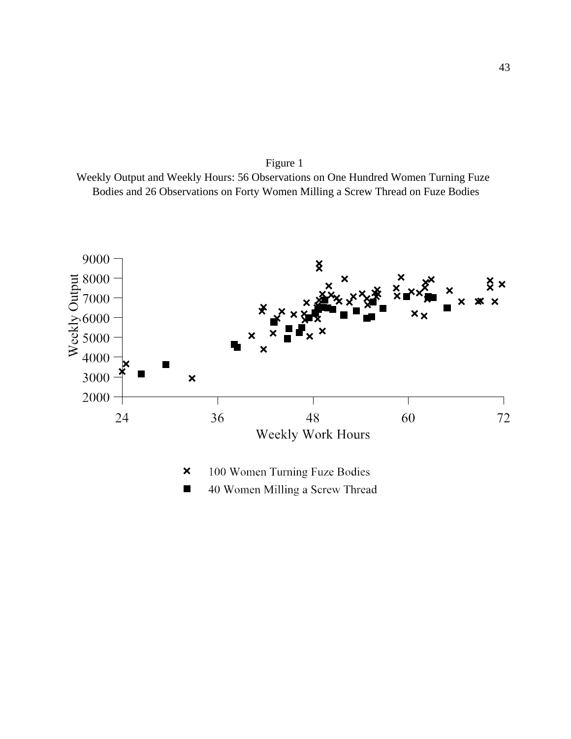Figure 1 Weekly Output and Weekly Hours: 56 Observations on One Hundred Women Turning Fuze Bodies and 26 Observations on Forty Women Milling a Screw Thread on Fuze Bodies

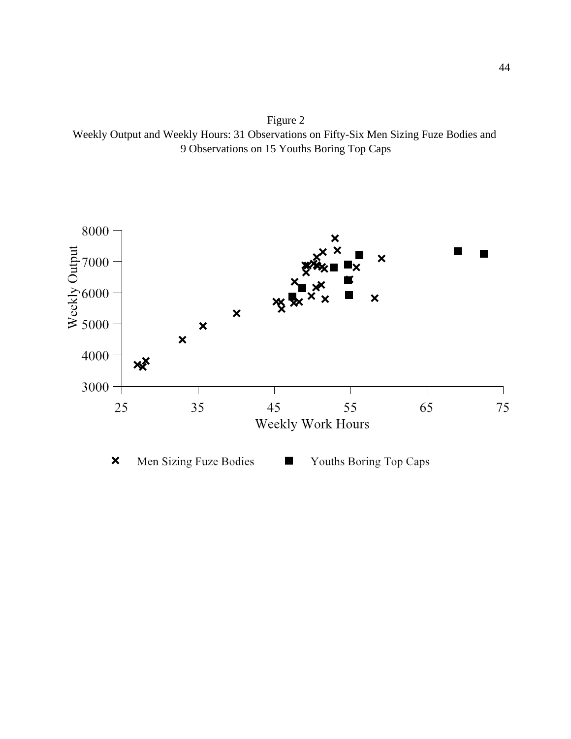Figure 2 Weekly Output and Weekly Hours: 31 Observations on Fifty-Six Men Sizing Fuze Bodies and 9 Observations on 15 Youths Boring Top Caps



 $\pmb{\times}$ Men Sizing Fuze Bodies Youths Boring Top Caps  $\blacksquare$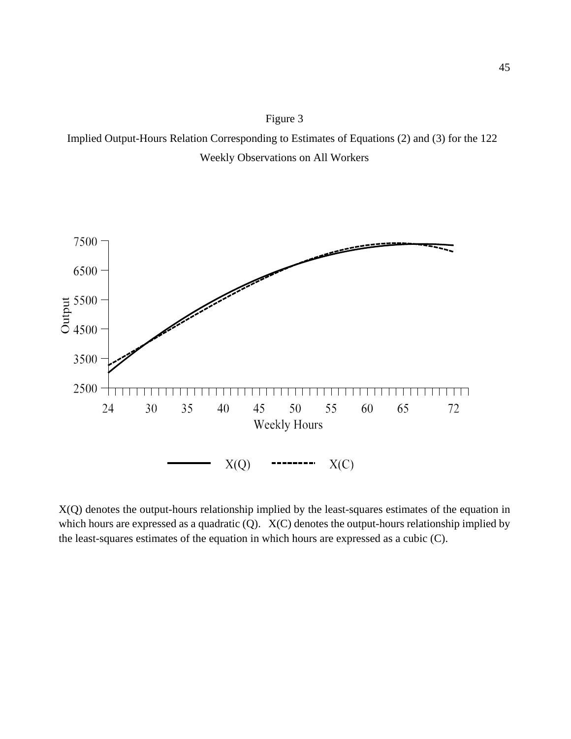Implied Output-Hours Relation Corresponding to Estimates of Equations (2) and (3) for the 122 Weekly Observations on All Workers



X(Q) denotes the output-hours relationship implied by the least-squares estimates of the equation in which hours are expressed as a quadratic (Q).  $X(C)$  denotes the output-hours relationship implied by the least-squares estimates of the equation in which hours are expressed as a cubic (C).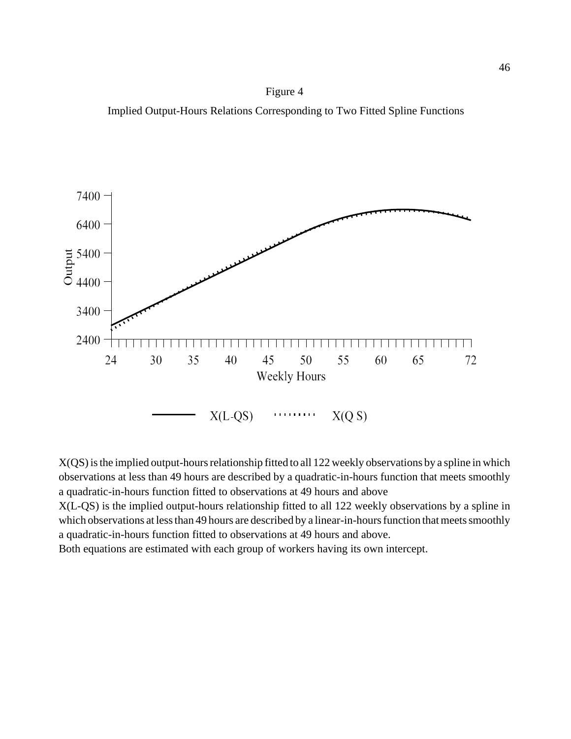Implied Output-Hours Relations Corresponding to Two Fitted Spline Functions





X(L-QS) is the implied output-hours relationship fitted to all 122 weekly observations by a spline in which observations at less than 49 hours are described by a linear-in-hours function that meets smoothly a quadratic-in-hours function fitted to observations at 49 hours and above.

Both equations are estimated with each group of workers having its own intercept.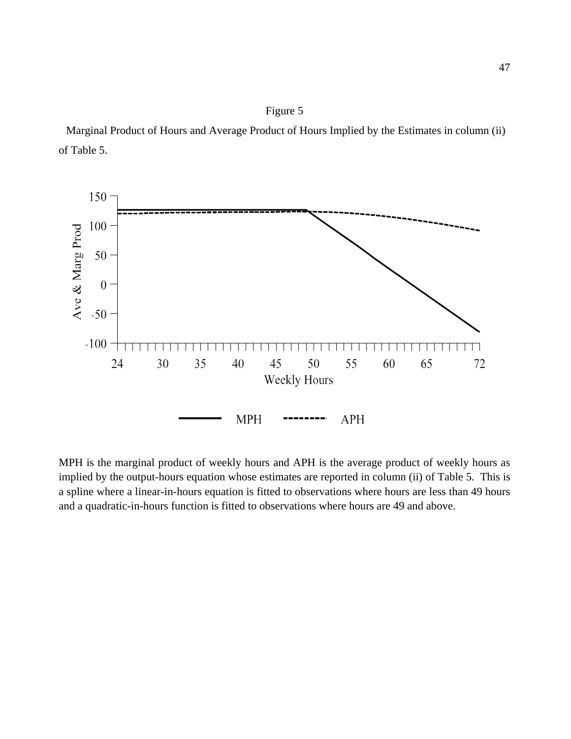Marginal Product of Hours and Average Product of Hours Implied by the Estimates in column (ii) of Table 5.



MPH is the marginal product of weekly hours and APH is the average product of weekly hours as implied by the output-hours equation whose estimates are reported in column (ii) of Table 5. This is a spline where a linear-in-hours equation is fitted to observations where hours are less than 49 hours and a quadratic-in-hours function is fitted to observations where hours are 49 and above.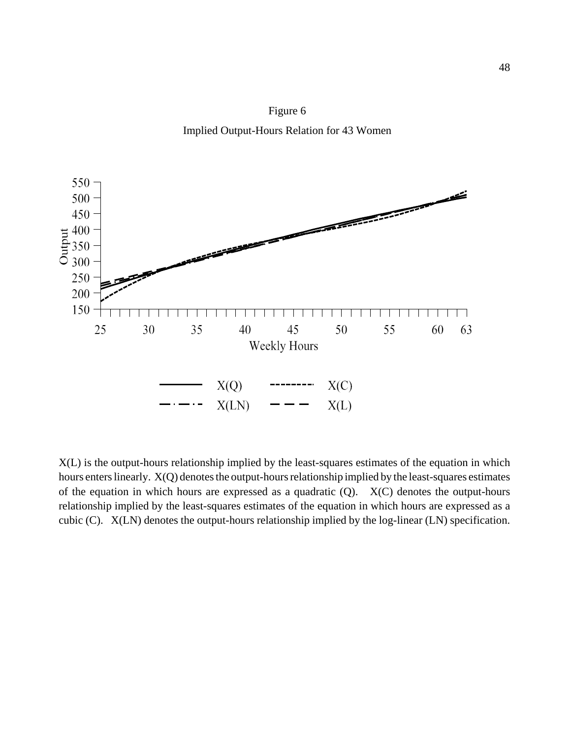Figure 6 Implied Output-Hours Relation for 43 Women



X(L) is the output-hours relationship implied by the least-squares estimates of the equation in which hours enters linearly. X(Q) denotes the output-hours relationship implied by the least-squares estimates of the equation in which hours are expressed as a quadratic  $(Q)$ .  $X(C)$  denotes the output-hours relationship implied by the least-squares estimates of the equation in which hours are expressed as a cubic (C). X(LN) denotes the output-hours relationship implied by the log-linear (LN) specification.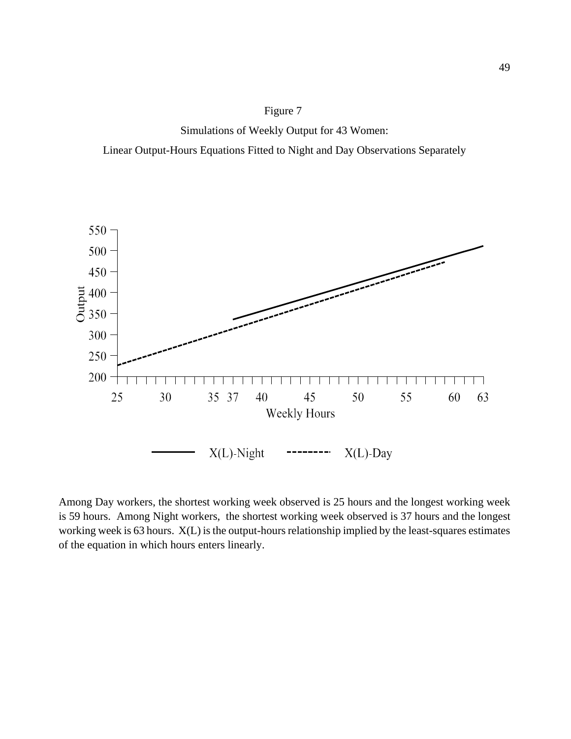

Linear Output-Hours Equations Fitted to Night and Day Observations Separately



Among Day workers, the shortest working week observed is 25 hours and the longest working week is 59 hours. Among Night workers, the shortest working week observed is 37 hours and the longest working week is 63 hours. X(L) is the output-hours relationship implied by the least-squares estimates of the equation in which hours enters linearly.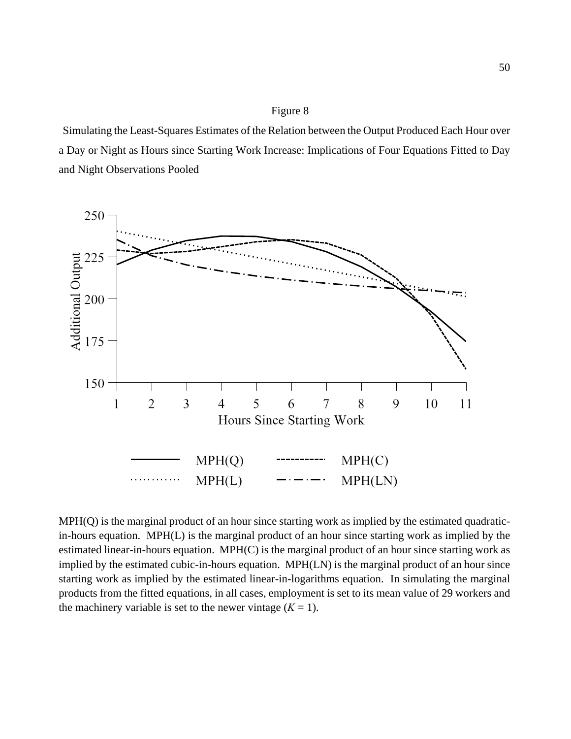Simulating the Least-Squares Estimates of the Relation between the Output Produced Each Hour over a Day or Night as Hours since Starting Work Increase: Implications of Four Equations Fitted to Day and Night Observations Pooled



MPH(Q) is the marginal product of an hour since starting work as implied by the estimated quadraticin-hours equation. MPH(L) is the marginal product of an hour since starting work as implied by the estimated linear-in-hours equation. MPH(C) is the marginal product of an hour since starting work as implied by the estimated cubic-in-hours equation. MPH(LN) is the marginal product of an hour since starting work as implied by the estimated linear-in-logarithms equation. In simulating the marginal products from the fitted equations, in all cases, employment is set to its mean value of 29 workers and the machinery variable is set to the newer vintage  $(K = 1)$ .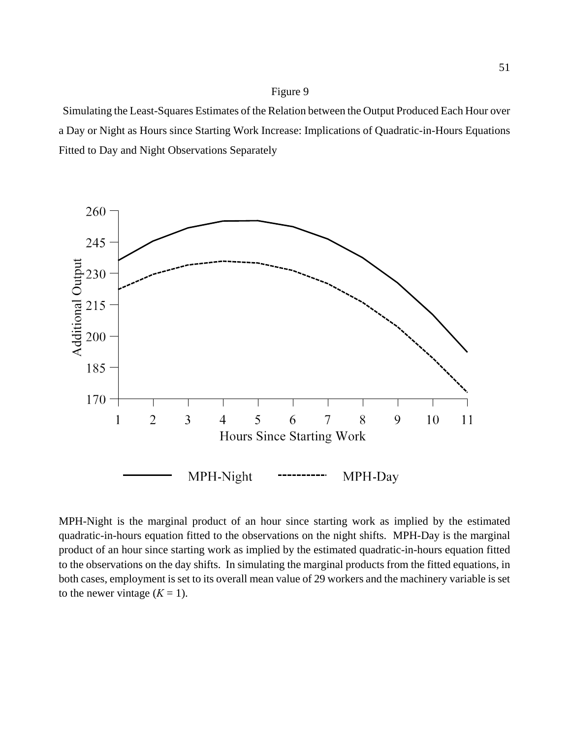Simulating the Least-Squares Estimates of the Relation between the Output Produced Each Hour over a Day or Night as Hours since Starting Work Increase: Implications of Quadratic-in-Hours Equations Fitted to Day and Night Observations Separately



MPH-Night is the marginal product of an hour since starting work as implied by the estimated quadratic-in-hours equation fitted to the observations on the night shifts. MPH-Day is the marginal product of an hour since starting work as implied by the estimated quadratic-in-hours equation fitted to the observations on the day shifts. In simulating the marginal products from the fitted equations, in both cases, employment is set to its overall mean value of 29 workers and the machinery variable is set to the newer vintage  $(K = 1)$ .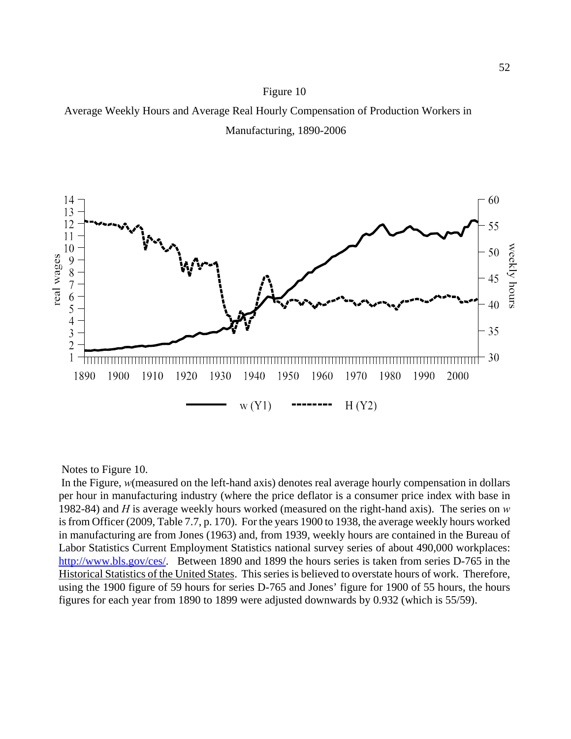Average Weekly Hours and Average Real Hourly Compensation of Production Workers in Manufacturing, 1890-2006



#### Notes to Figure 10.

 In the Figure, *w*(measured on the left-hand axis) denotes real average hourly compensation in dollars per hour in manufacturing industry (where the price deflator is a consumer price index with base in 1982-84) and *H* is average weekly hours worked (measured on the right-hand axis). The series on *w* is from Officer (2009, Table 7.7, p. 170). For the years 1900 to 1938, the average weekly hours worked in manufacturing are from Jones (1963) and, from 1939, weekly hours are contained in the Bureau of Labor Statistics Current Employment Statistics national survey series of about 490,000 workplaces: http://www.bls.gov/ces/. Between 1890 and 1899 the hours series is taken from series D-765 in the Historical Statistics of the United States. This series is believed to overstate hours of work. Therefore, using the 1900 figure of 59 hours for series D-765 and Jones' figure for 1900 of 55 hours, the hours figures for each year from 1890 to 1899 were adjusted downwards by 0.932 (which is 55/59).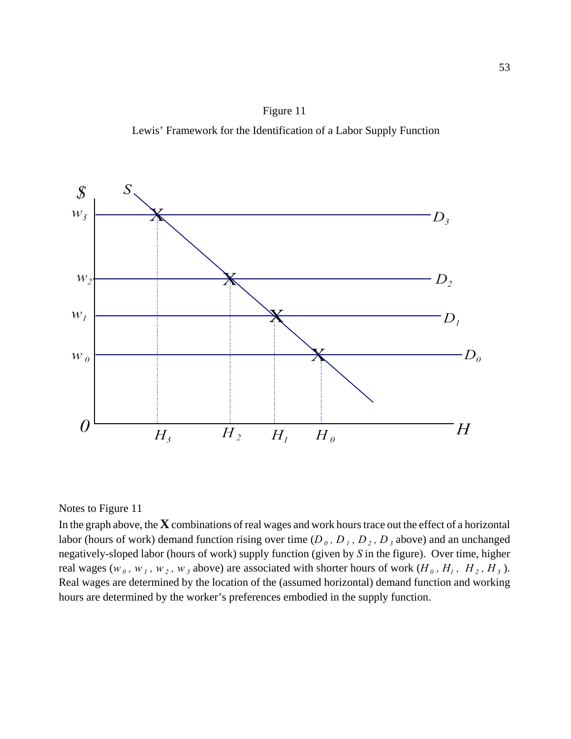Figure 11 Lewis' Framework for the Identification of a Labor Supply Function



#### Notes to Figure 11

In the graph above, the **X** combinations of real wages and work hours trace out the effect of a horizontal labor (hours of work) demand function rising over time  $(D_0, D_1, D_2, D_3)$  above) and an unchanged negatively-sloped labor (hours of work) supply function (given by *S* in the figure). Over time, higher real wages ( $w_0$ ,  $w_1$ ,  $w_2$ ,  $w_3$  above) are associated with shorter hours of work ( $H_0$ ,  $H_1$ ,  $H_2$ ,  $H_3$ ). Real wages are determined by the location of the (assumed horizontal) demand function and working hours are determined by the worker's preferences embodied in the supply function.